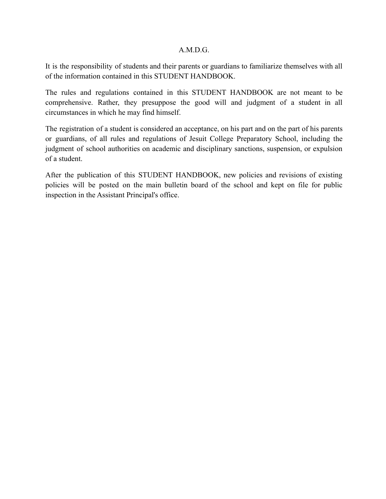### A.M.D.G.

It is the responsibility of students and their parents or guardians to familiarize themselves with all of the information contained in this STUDENT HANDBOOK.

The rules and regulations contained in this STUDENT HANDBOOK are not meant to be comprehensive. Rather, they presuppose the good will and judgment of a student in all circumstances in which he may find himself.

The registration of a student is considered an acceptance, on his part and on the part of his parents or guardians, of all rules and regulations of Jesuit College Preparatory School, including the judgment of school authorities on academic and disciplinary sanctions, suspension, or expulsion of a student.

After the publication of this STUDENT HANDBOOK, new policies and revisions of existing policies will be posted on the main bulletin board of the school and kept on file for public inspection in the Assistant Principal's office.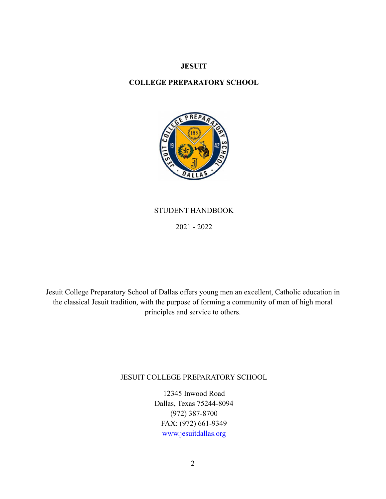### **JESUIT**

### **COLLEGE PREPARATORY SCHOOL**



## STUDENT HANDBOOK

2021 - 2022

Jesuit College Preparatory School of Dallas offers young men an excellent, Catholic education in the classical Jesuit tradition, with the purpose of forming a community of men of high moral principles and service to others.

## JESUIT COLLEGE PREPARATORY SCHOOL

12345 Inwood Road Dallas, Texas 75244-8094 (972) 387-8700 FAX: (972) 661-9349 [www.jesuitdallas.org](http://www.jesuitcp.org)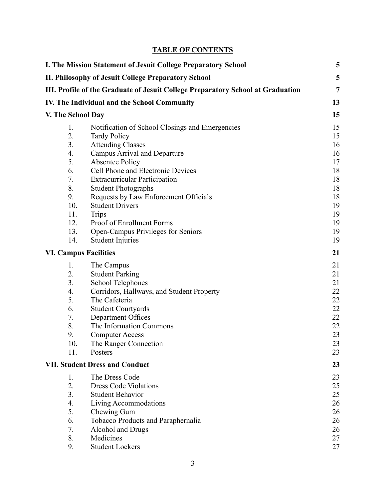# **TABLE OF CONTENTS**

| I. The Mission Statement of Jesuit College Preparatory School |                                                                                 |                |
|---------------------------------------------------------------|---------------------------------------------------------------------------------|----------------|
|                                                               | II. Philosophy of Jesuit College Preparatory School                             | 5              |
|                                                               | III. Profile of the Graduate of Jesuit College Preparatory School at Graduation | $\overline{7}$ |
|                                                               | IV. The Individual and the School Community                                     | 13             |
| V. The School Day                                             |                                                                                 |                |
| 1.                                                            | Notification of School Closings and Emergencies                                 | 15             |
| 2.                                                            | <b>Tardy Policy</b>                                                             | 15             |
| 3.                                                            | <b>Attending Classes</b>                                                        | 16             |
| 4.                                                            | <b>Campus Arrival and Departure</b>                                             | 16             |
| 5.                                                            | <b>Absentee Policy</b>                                                          | 17             |
| 6.                                                            | Cell Phone and Electronic Devices                                               | 18             |
| 7.                                                            | <b>Extracurricular Participation</b>                                            | 18             |
| 8.                                                            | <b>Student Photographs</b>                                                      | 18             |
| 9.                                                            | Requests by Law Enforcement Officials                                           | 18             |
| 10.                                                           | <b>Student Drivers</b>                                                          | 19             |
| 11.                                                           | <b>Trips</b>                                                                    | 19             |
| 12.                                                           | Proof of Enrollment Forms                                                       | 19             |
| 13.                                                           | Open-Campus Privileges for Seniors                                              | 19             |
| 14.                                                           | <b>Student Injuries</b>                                                         | 19             |
| <b>VI. Campus Facilities</b>                                  |                                                                                 |                |
| 1.                                                            | The Campus                                                                      | 21             |
| 2.                                                            | <b>Student Parking</b>                                                          | 21             |
| 3.                                                            | School Telephones                                                               | 21             |
| 4.                                                            | Corridors, Hallways, and Student Property                                       | 22             |
| 5.                                                            | The Cafeteria                                                                   | 22             |
| 6.                                                            | <b>Student Courtyards</b>                                                       | 22             |
| 7.                                                            | Department Offices                                                              | 22             |
| 8.                                                            | The Information Commons                                                         | 22             |
| 9.                                                            | <b>Computer Access</b>                                                          | 23             |
| 10.                                                           | The Ranger Connection                                                           | 23             |
| 11.                                                           | Posters                                                                         | 23             |
| <b>VII. Student Dress and Conduct</b>                         |                                                                                 | 23             |
| 1.                                                            | The Dress Code                                                                  | 23             |
| 2.                                                            | <b>Dress Code Violations</b>                                                    | 25             |
| 3.                                                            | <b>Student Behavior</b>                                                         | 25             |
| 4.                                                            | Living Accommodations                                                           | 26             |
| 5.                                                            | Chewing Gum                                                                     | 26             |
| 6.                                                            | Tobacco Products and Paraphernalia                                              | 26             |
| 7.                                                            | Alcohol and Drugs                                                               | 26             |
| 8.                                                            | Medicines                                                                       | 27             |
| 9.                                                            | <b>Student Lockers</b>                                                          | 27             |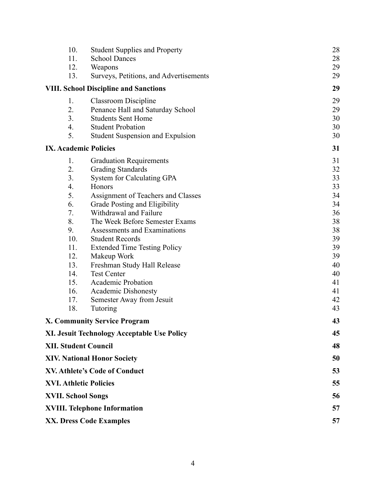| 10.                                                                                                         | <b>Student Supplies and Property</b>               | 28       |
|-------------------------------------------------------------------------------------------------------------|----------------------------------------------------|----------|
| 11.                                                                                                         | <b>School Dances</b>                               | 28       |
| 12.                                                                                                         | Weapons                                            | 29       |
| 13.                                                                                                         | Surveys, Petitions, and Advertisements             | 29       |
| <b>VIII. School Discipline and Sanctions</b>                                                                |                                                    | 29       |
| 1.                                                                                                          | <b>Classroom Discipline</b>                        | 29       |
| 2.                                                                                                          | Penance Hall and Saturday School                   | 29       |
| 3.                                                                                                          | <b>Students Sent Home</b>                          | 30       |
| 4.                                                                                                          | <b>Student Probation</b>                           | 30       |
| 5.                                                                                                          | Student Suspension and Expulsion                   | 30       |
| <b>IX. Academic Policies</b>                                                                                |                                                    | 31       |
| 1.                                                                                                          | <b>Graduation Requirements</b>                     | 31       |
| 2.                                                                                                          | <b>Grading Standards</b>                           | 32       |
| 3.                                                                                                          | System for Calculating GPA                         | 33       |
| 4.                                                                                                          | Honors                                             | 33       |
| 5.                                                                                                          | Assignment of Teachers and Classes                 | 34       |
| 6.                                                                                                          | Grade Posting and Eligibility                      | 34       |
| 7.                                                                                                          | Withdrawal and Failure                             | 36       |
| 8.                                                                                                          | The Week Before Semester Exams                     | 38       |
| 9.                                                                                                          | Assessments and Examinations                       | 38       |
| 10.                                                                                                         | <b>Student Records</b>                             | 39       |
| 11.<br>12.                                                                                                  | <b>Extended Time Testing Policy</b><br>Makeup Work | 39<br>39 |
| 13.                                                                                                         | Freshman Study Hall Release                        | 40       |
| 14.                                                                                                         | <b>Test Center</b>                                 | 40       |
| 15.                                                                                                         | Academic Probation                                 | 41       |
| 16.                                                                                                         | <b>Academic Dishonesty</b>                         | 41       |
| 17.                                                                                                         | Semester Away from Jesuit                          | 42       |
| 18.                                                                                                         | Tutoring                                           | 43       |
| <b>X. Community Service Program</b>                                                                         |                                                    | 43       |
|                                                                                                             | XI. Jesuit Technology Acceptable Use Policy        | 45       |
| <b>XII. Student Council</b>                                                                                 |                                                    | 48       |
| <b>XIV. National Honor Society</b><br><b>XV. Athlete's Code of Conduct</b><br><b>XVI. Athletic Policies</b> |                                                    | 50       |
|                                                                                                             |                                                    | 53       |
|                                                                                                             |                                                    | 55       |
| <b>XVII. School Songs</b>                                                                                   | 56                                                 |          |
| <b>XVIII. Telephone Information</b>                                                                         | 57                                                 |          |
| <b>XX. Dress Code Examples</b>                                                                              | 57                                                 |          |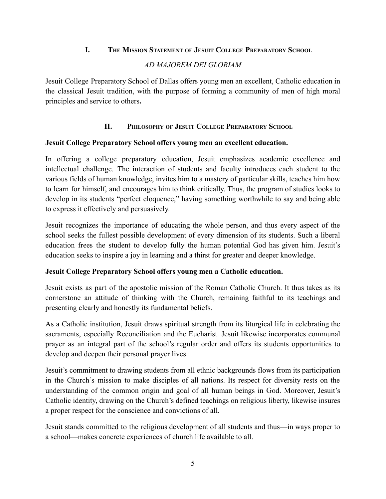## **I. THE MISSION STATEMENT OF JESUIT COLLEGE PREPARATORY SCHOOL**

## *AD MAJOREM DEI GLORIAM*

<span id="page-4-0"></span>Jesuit College Preparatory School of Dallas offers young men an excellent, Catholic education in the classical Jesuit tradition, with the purpose of forming a community of men of high moral principles and service to others**.**

## **II. PHILOSOPHY OF JESUIT COLLEGE PREPARATORY SCHOOL**

## <span id="page-4-1"></span>**Jesuit College Preparatory School offers young men an excellent education.**

In offering a college preparatory education, Jesuit emphasizes academic excellence and intellectual challenge. The interaction of students and faculty introduces each student to the various fields of human knowledge, invites him to a mastery of particular skills, teaches him how to learn for himself, and encourages him to think critically. Thus, the program of studies looks to develop in its students "perfect eloquence," having something worthwhile to say and being able to express it effectively and persuasively.

Jesuit recognizes the importance of educating the whole person, and thus every aspect of the school seeks the fullest possible development of every dimension of its students. Such a liberal education frees the student to develop fully the human potential God has given him. Jesuit's education seeks to inspire a joy in learning and a thirst for greater and deeper knowledge.

## **Jesuit College Preparatory School offers young men a Catholic education.**

Jesuit exists as part of the apostolic mission of the Roman Catholic Church. It thus takes as its cornerstone an attitude of thinking with the Church, remaining faithful to its teachings and presenting clearly and honestly its fundamental beliefs.

As a Catholic institution, Jesuit draws spiritual strength from its liturgical life in celebrating the sacraments, especially Reconciliation and the Eucharist. Jesuit likewise incorporates communal prayer as an integral part of the school's regular order and offers its students opportunities to develop and deepen their personal prayer lives.

Jesuit's commitment to drawing students from all ethnic backgrounds flows from its participation in the Church's mission to make disciples of all nations. Its respect for diversity rests on the understanding of the common origin and goal of all human beings in God. Moreover, Jesuit's Catholic identity, drawing on the Church's defined teachings on religious liberty, likewise insures a proper respect for the conscience and convictions of all.

Jesuit stands committed to the religious development of all students and thus—in ways proper to a school—makes concrete experiences of church life available to all.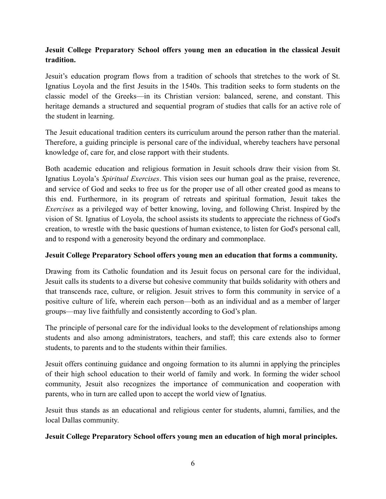## **Jesuit College Preparatory School offers young men an education in the classical Jesuit tradition.**

Jesuit's education program flows from a tradition of schools that stretches to the work of St. Ignatius Loyola and the first Jesuits in the 1540s. This tradition seeks to form students on the classic model of the Greeks—in its Christian version: balanced, serene, and constant. This heritage demands a structured and sequential program of studies that calls for an active role of the student in learning.

The Jesuit educational tradition centers its curriculum around the person rather than the material. Therefore, a guiding principle is personal care of the individual, whereby teachers have personal knowledge of, care for, and close rapport with their students.

Both academic education and religious formation in Jesuit schools draw their vision from St. Ignatius Loyola's *Spiritual Exercises*. This vision sees our human goal as the praise, reverence, and service of God and seeks to free us for the proper use of all other created good as means to this end. Furthermore, in its program of retreats and spiritual formation, Jesuit takes the *Exercises* as a privileged way of better knowing, loving, and following Christ. Inspired by the vision of St. Ignatius of Loyola, the school assists its students to appreciate the richness of God's creation, to wrestle with the basic questions of human existence, to listen for God's personal call, and to respond with a generosity beyond the ordinary and commonplace.

## **Jesuit College Preparatory School offers young men an education that forms a community.**

Drawing from its Catholic foundation and its Jesuit focus on personal care for the individual, Jesuit calls its students to a diverse but cohesive community that builds solidarity with others and that transcends race, culture, or religion. Jesuit strives to form this community in service of a positive culture of life, wherein each person—both as an individual and as a member of larger groups—may live faithfully and consistently according to God's plan.

The principle of personal care for the individual looks to the development of relationships among students and also among administrators, teachers, and staff; this care extends also to former students, to parents and to the students within their families.

Jesuit offers continuing guidance and ongoing formation to its alumni in applying the principles of their high school education to their world of family and work. In forming the wider school community, Jesuit also recognizes the importance of communication and cooperation with parents, who in turn are called upon to accept the world view of Ignatius.

Jesuit thus stands as an educational and religious center for students, alumni, families, and the local Dallas community.

## **Jesuit College Preparatory School offers young men an education of high moral principles.**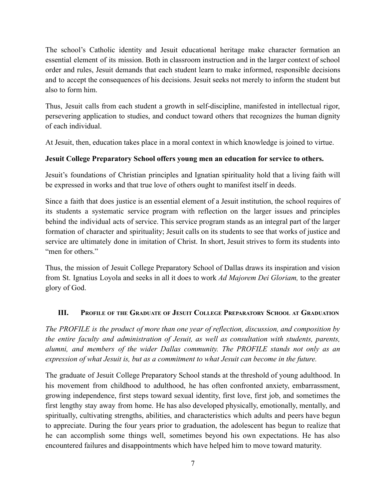The school's Catholic identity and Jesuit educational heritage make character formation an essential element of its mission. Both in classroom instruction and in the larger context of school order and rules, Jesuit demands that each student learn to make informed, responsible decisions and to accept the consequences of his decisions. Jesuit seeks not merely to inform the student but also to form him.

Thus, Jesuit calls from each student a growth in self-discipline, manifested in intellectual rigor, persevering application to studies, and conduct toward others that recognizes the human dignity of each individual.

At Jesuit, then, education takes place in a moral context in which knowledge is joined to virtue.

## **Jesuit College Preparatory School offers young men an education for service to others.**

Jesuit's foundations of Christian principles and Ignatian spirituality hold that a living faith will be expressed in works and that true love of others ought to manifest itself in deeds.

Since a faith that does justice is an essential element of a Jesuit institution, the school requires of its students a systematic service program with reflection on the larger issues and principles behind the individual acts of service. This service program stands as an integral part of the larger formation of character and spirituality; Jesuit calls on its students to see that works of justice and service are ultimately done in imitation of Christ. In short, Jesuit strives to form its students into "men for others"

Thus, the mission of Jesuit College Preparatory School of Dallas draws its inspiration and vision from St. Ignatius Loyola and seeks in all it does to work *Ad Majorem Dei Gloriam,* to the greater glory of God.

# <span id="page-6-0"></span>**III. PROFILE OF THE GRADUATE OF JESUIT COLLEGE PREPARATORY SCHOOL AT GRADUATION**

*The PROFILE is the product of more than one year of reflection, discussion, and composition by the entire faculty and administration of Jesuit, as well as consultation with students, parents, alumni, and members of the wider Dallas community. The PROFILE stands not only as an expression of what Jesuit is, but as a commitment to what Jesuit can become in the future.*

The graduate of Jesuit College Preparatory School stands at the threshold of young adulthood. In his movement from childhood to adulthood, he has often confronted anxiety, embarrassment, growing independence, first steps toward sexual identity, first love, first job, and sometimes the first lengthy stay away from home. He has also developed physically, emotionally, mentally, and spiritually, cultivating strengths, abilities, and characteristics which adults and peers have begun to appreciate. During the four years prior to graduation, the adolescent has begun to realize that he can accomplish some things well, sometimes beyond his own expectations. He has also encountered failures and disappointments which have helped him to move toward maturity.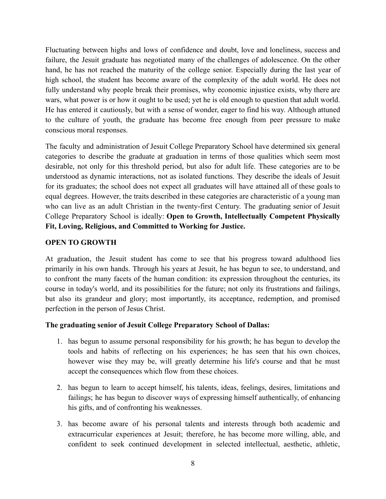Fluctuating between highs and lows of confidence and doubt, love and loneliness, success and failure, the Jesuit graduate has negotiated many of the challenges of adolescence. On the other hand, he has not reached the maturity of the college senior. Especially during the last year of high school, the student has become aware of the complexity of the adult world. He does not fully understand why people break their promises, why economic injustice exists, why there are wars, what power is or how it ought to be used; yet he is old enough to question that adult world. He has entered it cautiously, but with a sense of wonder, eager to find his way. Although attuned to the culture of youth, the graduate has become free enough from peer pressure to make conscious moral responses.

The faculty and administration of Jesuit College Preparatory School have determined six general categories to describe the graduate at graduation in terms of those qualities which seem most desirable, not only for this threshold period, but also for adult life. These categories are to be understood as dynamic interactions, not as isolated functions. They describe the ideals of Jesuit for its graduates; the school does not expect all graduates will have attained all of these goals to equal degrees. However, the traits described in these categories are characteristic of a young man who can live as an adult Christian in the twenty-first Century. The graduating senior of Jesuit College Preparatory School is ideally: **Open to Growth, Intellectually Competent Physically Fit, Loving, Religious, and Committed to Working for Justice.**

## **OPEN TO GROWTH**

At graduation, the Jesuit student has come to see that his progress toward adulthood lies primarily in his own hands. Through his years at Jesuit, he has begun to see, to understand, and to confront the many facets of the human condition: its expression throughout the centuries, its course in today's world, and its possibilities for the future; not only its frustrations and failings, but also its grandeur and glory; most importantly, its acceptance, redemption, and promised perfection in the person of Jesus Christ.

## **The graduating senior of Jesuit College Preparatory School of Dallas:**

- 1. has begun to assume personal responsibility for his growth; he has begun to develop the tools and habits of reflecting on his experiences; he has seen that his own choices, however wise they may be, will greatly determine his life's course and that he must accept the consequences which flow from these choices.
- 2. has begun to learn to accept himself, his talents, ideas, feelings, desires, limitations and failings; he has begun to discover ways of expressing himself authentically, of enhancing his gifts, and of confronting his weaknesses.
- 3. has become aware of his personal talents and interests through both academic and extracurricular experiences at Jesuit; therefore, he has become more willing, able, and confident to seek continued development in selected intellectual, aesthetic, athletic,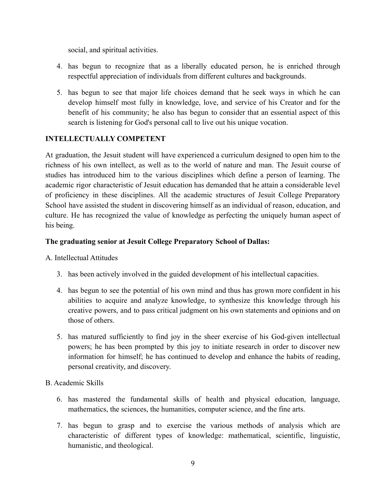social, and spiritual activities.

- 4. has begun to recognize that as a liberally educated person, he is enriched through respectful appreciation of individuals from different cultures and backgrounds.
- 5. has begun to see that major life choices demand that he seek ways in which he can develop himself most fully in knowledge, love, and service of his Creator and for the benefit of his community; he also has begun to consider that an essential aspect of this search is listening for God's personal call to live out his unique vocation.

## **INTELLECTUALLY COMPETENT**

At graduation, the Jesuit student will have experienced a curriculum designed to open him to the richness of his own intellect, as well as to the world of nature and man. The Jesuit course of studies has introduced him to the various disciplines which define a person of learning. The academic rigor characteristic of Jesuit education has demanded that he attain a considerable level of proficiency in these disciplines. All the academic structures of Jesuit College Preparatory School have assisted the student in discovering himself as an individual of reason, education, and culture. He has recognized the value of knowledge as perfecting the uniquely human aspect of his being.

## **The graduating senior at Jesuit College Preparatory School of Dallas:**

#### A. Intellectual Attitudes

- 3. has been actively involved in the guided development of his intellectual capacities.
- 4. has begun to see the potential of his own mind and thus has grown more confident in his abilities to acquire and analyze knowledge, to synthesize this knowledge through his creative powers, and to pass critical judgment on his own statements and opinions and on those of others.
- 5. has matured sufficiently to find joy in the sheer exercise of his God-given intellectual powers; he has been prompted by this joy to initiate research in order to discover new information for himself; he has continued to develop and enhance the habits of reading, personal creativity, and discovery.

## B. Academic Skills

- 6. has mastered the fundamental skills of health and physical education, language, mathematics, the sciences, the humanities, computer science, and the fine arts.
- 7. has begun to grasp and to exercise the various methods of analysis which are characteristic of different types of knowledge: mathematical, scientific, linguistic, humanistic, and theological.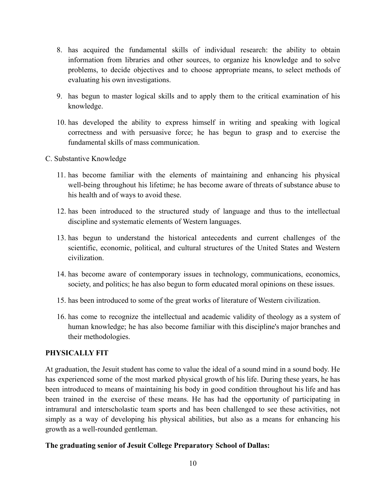- 8. has acquired the fundamental skills of individual research: the ability to obtain information from libraries and other sources, to organize his knowledge and to solve problems, to decide objectives and to choose appropriate means, to select methods of evaluating his own investigations.
- 9. has begun to master logical skills and to apply them to the critical examination of his knowledge.
- 10. has developed the ability to express himself in writing and speaking with logical correctness and with persuasive force; he has begun to grasp and to exercise the fundamental skills of mass communication.
- C. Substantive Knowledge
	- 11. has become familiar with the elements of maintaining and enhancing his physical well-being throughout his lifetime; he has become aware of threats of substance abuse to his health and of ways to avoid these.
	- 12. has been introduced to the structured study of language and thus to the intellectual discipline and systematic elements of Western languages.
	- 13. has begun to understand the historical antecedents and current challenges of the scientific, economic, political, and cultural structures of the United States and Western civilization.
	- 14. has become aware of contemporary issues in technology, communications, economics, society, and politics; he has also begun to form educated moral opinions on these issues.
	- 15. has been introduced to some of the great works of literature of Western civilization.
	- 16. has come to recognize the intellectual and academic validity of theology as a system of human knowledge; he has also become familiar with this discipline's major branches and their methodologies.

#### **PHYSICALLY FIT**

At graduation, the Jesuit student has come to value the ideal of a sound mind in a sound body. He has experienced some of the most marked physical growth of his life. During these years, he has been introduced to means of maintaining his body in good condition throughout his life and has been trained in the exercise of these means. He has had the opportunity of participating in intramural and interscholastic team sports and has been challenged to see these activities, not simply as a way of developing his physical abilities, but also as a means for enhancing his growth as a well-rounded gentleman.

#### **The graduating senior of Jesuit College Preparatory School of Dallas:**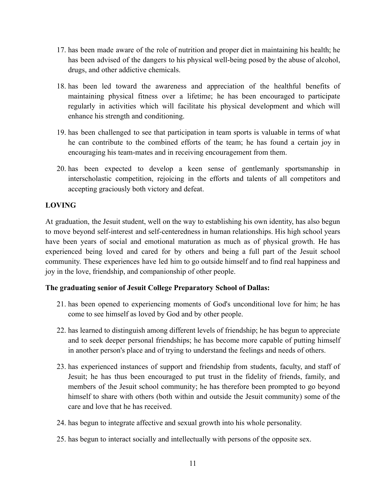- 17. has been made aware of the role of nutrition and proper diet in maintaining his health; he has been advised of the dangers to his physical well-being posed by the abuse of alcohol, drugs, and other addictive chemicals.
- 18. has been led toward the awareness and appreciation of the healthful benefits of maintaining physical fitness over a lifetime; he has been encouraged to participate regularly in activities which will facilitate his physical development and which will enhance his strength and conditioning.
- 19. has been challenged to see that participation in team sports is valuable in terms of what he can contribute to the combined efforts of the team; he has found a certain joy in encouraging his team-mates and in receiving encouragement from them.
- 20. has been expected to develop a keen sense of gentlemanly sportsmanship in interscholastic competition, rejoicing in the efforts and talents of all competitors and accepting graciously both victory and defeat.

# **LOVING**

At graduation, the Jesuit student, well on the way to establishing his own identity, has also begun to move beyond self-interest and self-centeredness in human relationships. His high school years have been years of social and emotional maturation as much as of physical growth. He has experienced being loved and cared for by others and being a full part of the Jesuit school community. These experiences have led him to go outside himself and to find real happiness and joy in the love, friendship, and companionship of other people.

# **The graduating senior of Jesuit College Preparatory School of Dallas:**

- 21. has been opened to experiencing moments of God's unconditional love for him; he has come to see himself as loved by God and by other people.
- 22. has learned to distinguish among different levels of friendship; he has begun to appreciate and to seek deeper personal friendships; he has become more capable of putting himself in another person's place and of trying to understand the feelings and needs of others.
- 23. has experienced instances of support and friendship from students, faculty, and staff of Jesuit; he has thus been encouraged to put trust in the fidelity of friends, family, and members of the Jesuit school community; he has therefore been prompted to go beyond himself to share with others (both within and outside the Jesuit community) some of the care and love that he has received.
- 24. has begun to integrate affective and sexual growth into his whole personality.
- 25. has begun to interact socially and intellectually with persons of the opposite sex.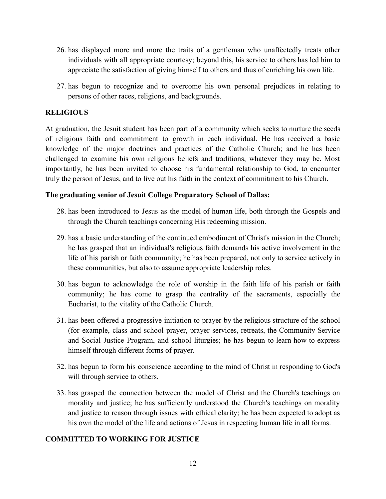- 26. has displayed more and more the traits of a gentleman who unaffectedly treats other individuals with all appropriate courtesy; beyond this, his service to others has led him to appreciate the satisfaction of giving himself to others and thus of enriching his own life.
- 27. has begun to recognize and to overcome his own personal prejudices in relating to persons of other races, religions, and backgrounds.

### **RELIGIOUS**

At graduation, the Jesuit student has been part of a community which seeks to nurture the seeds of religious faith and commitment to growth in each individual. He has received a basic knowledge of the major doctrines and practices of the Catholic Church; and he has been challenged to examine his own religious beliefs and traditions, whatever they may be. Most importantly, he has been invited to choose his fundamental relationship to God, to encounter truly the person of Jesus, and to live out his faith in the context of commitment to his Church.

### **The graduating senior of Jesuit College Preparatory School of Dallas:**

- 28. has been introduced to Jesus as the model of human life, both through the Gospels and through the Church teachings concerning His redeeming mission.
- 29. has a basic understanding of the continued embodiment of Christ's mission in the Church; he has grasped that an individual's religious faith demands his active involvement in the life of his parish or faith community; he has been prepared, not only to service actively in these communities, but also to assume appropriate leadership roles.
- 30. has begun to acknowledge the role of worship in the faith life of his parish or faith community; he has come to grasp the centrality of the sacraments, especially the Eucharist, to the vitality of the Catholic Church.
- 31. has been offered a progressive initiation to prayer by the religious structure of the school (for example, class and school prayer, prayer services, retreats, the Community Service and Social Justice Program, and school liturgies; he has begun to learn how to express himself through different forms of prayer.
- 32. has begun to form his conscience according to the mind of Christ in responding to God's will through service to others.
- 33. has grasped the connection between the model of Christ and the Church's teachings on morality and justice; he has sufficiently understood the Church's teachings on morality and justice to reason through issues with ethical clarity; he has been expected to adopt as his own the model of the life and actions of Jesus in respecting human life in all forms.

## **COMMITTED TO WORKING FOR JUSTICE**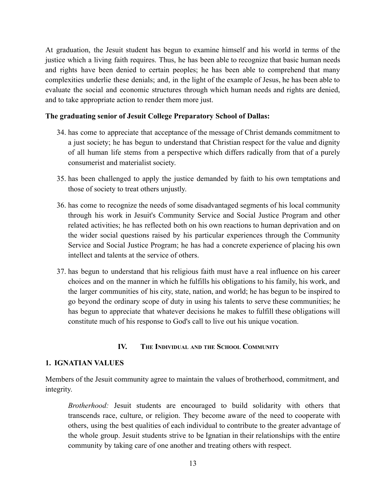At graduation, the Jesuit student has begun to examine himself and his world in terms of the justice which a living faith requires. Thus, he has been able to recognize that basic human needs and rights have been denied to certain peoples; he has been able to comprehend that many complexities underlie these denials; and, in the light of the example of Jesus, he has been able to evaluate the social and economic structures through which human needs and rights are denied, and to take appropriate action to render them more just.

## **The graduating senior of Jesuit College Preparatory School of Dallas:**

- 34. has come to appreciate that acceptance of the message of Christ demands commitment to a just society; he has begun to understand that Christian respect for the value and dignity of all human life stems from a perspective which differs radically from that of a purely consumerist and materialist society.
- 35. has been challenged to apply the justice demanded by faith to his own temptations and those of society to treat others unjustly.
- 36. has come to recognize the needs of some disadvantaged segments of his local community through his work in Jesuit's Community Service and Social Justice Program and other related activities; he has reflected both on his own reactions to human deprivation and on the wider social questions raised by his particular experiences through the Community Service and Social Justice Program; he has had a concrete experience of placing his own intellect and talents at the service of others.
- 37. has begun to understand that his religious faith must have a real influence on his career choices and on the manner in which he fulfills his obligations to his family, his work, and the larger communities of his city, state, nation, and world; he has begun to be inspired to go beyond the ordinary scope of duty in using his talents to serve these communities; he has begun to appreciate that whatever decisions he makes to fulfill these obligations will constitute much of his response to God's call to live out his unique vocation.

## **IV. THE INDIVIDUAL AND THE SCHOOL COMMUNITY**

## <span id="page-12-0"></span>**1. IGNATIAN VALUES**

Members of the Jesuit community agree to maintain the values of brotherhood, commitment, and integrity.

*Brotherhood:* Jesuit students are encouraged to build solidarity with others that transcends race, culture, or religion. They become aware of the need to cooperate with others, using the best qualities of each individual to contribute to the greater advantage of the whole group. Jesuit students strive to be Ignatian in their relationships with the entire community by taking care of one another and treating others with respect.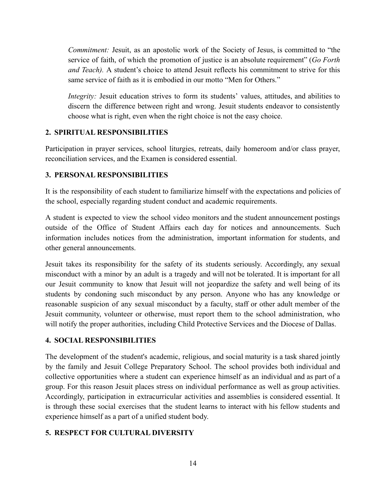*Commitment:* Jesuit, as an apostolic work of the Society of Jesus, is committed to "the service of faith, of which the promotion of justice is an absolute requirement" (*Go Forth and Teach).* A student's choice to attend Jesuit reflects his commitment to strive for this same service of faith as it is embodied in our motto "Men for Others."

*Integrity:* Jesuit education strives to form its students' values, attitudes, and abilities to discern the difference between right and wrong. Jesuit students endeavor to consistently choose what is right, even when the right choice is not the easy choice.

## **2. SPIRITUAL RESPONSIBILITIES**

Participation in prayer services, school liturgies, retreats, daily homeroom and/or class prayer, reconciliation services, and the Examen is considered essential.

# **3. PERSONAL RESPONSIBILITIES**

It is the responsibility of each student to familiarize himself with the expectations and policies of the school, especially regarding student conduct and academic requirements.

A student is expected to view the school video monitors and the student announcement postings outside of the Office of Student Affairs each day for notices and announcements. Such information includes notices from the administration, important information for students, and other general announcements.

Jesuit takes its responsibility for the safety of its students seriously. Accordingly, any sexual misconduct with a minor by an adult is a tragedy and will not be tolerated. It is important for all our Jesuit community to know that Jesuit will not jeopardize the safety and well being of its students by condoning such misconduct by any person. Anyone who has any knowledge or reasonable suspicion of any sexual misconduct by a faculty, staff or other adult member of the Jesuit community, volunteer or otherwise, must report them to the school administration, who will notify the proper authorities, including Child Protective Services and the Diocese of Dallas.

# **4. SOCIAL RESPONSIBILITIES**

The development of the student's academic, religious, and social maturity is a task shared jointly by the family and Jesuit College Preparatory School. The school provides both individual and collective opportunities where a student can experience himself as an individual and as part of a group. For this reason Jesuit places stress on individual performance as well as group activities. Accordingly, participation in extracurricular activities and assemblies is considered essential. It is through these social exercises that the student learns to interact with his fellow students and experience himself as a part of a unified student body.

# **5. RESPECT FOR CULTURAL DIVERSITY**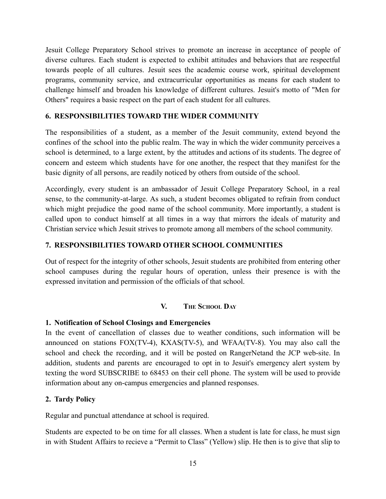Jesuit College Preparatory School strives to promote an increase in acceptance of people of diverse cultures. Each student is expected to exhibit attitudes and behaviors that are respectful towards people of all cultures. Jesuit sees the academic course work, spiritual development programs, community service, and extracurricular opportunities as means for each student to challenge himself and broaden his knowledge of different cultures. Jesuit's motto of "Men for Others" requires a basic respect on the part of each student for all cultures.

## **6. RESPONSIBILITIES TOWARD THE WIDER COMMUNITY**

The responsibilities of a student, as a member of the Jesuit community, extend beyond the confines of the school into the public realm. The way in which the wider community perceives a school is determined, to a large extent, by the attitudes and actions of its students. The degree of concern and esteem which students have for one another, the respect that they manifest for the basic dignity of all persons, are readily noticed by others from outside of the school.

Accordingly, every student is an ambassador of Jesuit College Preparatory School, in a real sense, to the community-at-large. As such, a student becomes obligated to refrain from conduct which might prejudice the good name of the school community. More importantly, a student is called upon to conduct himself at all times in a way that mirrors the ideals of maturity and Christian service which Jesuit strives to promote among all members of the school community.

## **7. RESPONSIBILITIES TOWARD OTHER SCHOOL COMMUNITIES**

Out of respect for the integrity of other schools, Jesuit students are prohibited from entering other school campuses during the regular hours of operation, unless their presence is with the expressed invitation and permission of the officials of that school.

## **V. THE SCHOOL DAY**

## <span id="page-14-1"></span><span id="page-14-0"></span>**1. Notification of School Closings and Emergencies**

In the event of cancellation of classes due to weather conditions, such information will be announced on stations FOX(TV-4), KXAS(TV-5), and WFAA(TV-8). You may also call the school and check the recording, and it will be posted on RangerNetand the JCP web-site. In addition, students and parents are encouraged to opt in to Jesuit's emergency alert system by texting the word SUBSCRIBE to 68453 on their cell phone. The system will be used to provide information about any on-campus emergencies and planned responses.

## <span id="page-14-2"></span>**2. Tardy Policy**

Regular and punctual attendance at school is required.

Students are expected to be on time for all classes. When a student is late for class, he must sign in with Student Affairs to recieve a "Permit to Class" (Yellow) slip. He then is to give that slip to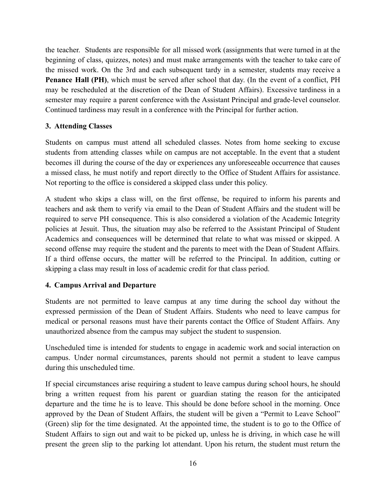the teacher. Students are responsible for all missed work (assignments that were turned in at the beginning of class, quizzes, notes) and must make arrangements with the teacher to take care of the missed work. On the 3rd and each subsequent tardy in a semester, students may receive a **Penance Hall (PH)**, which must be served after school that day. (In the event of a conflict, PH may be rescheduled at the discretion of the Dean of Student Affairs). Excessive tardiness in a semester may require a parent conference with the Assistant Principal and grade-level counselor. Continued tardiness may result in a conference with the Principal for further action.

## <span id="page-15-0"></span>**3. Attending Classes**

Students on campus must attend all scheduled classes. Notes from home seeking to excuse students from attending classes while on campus are not acceptable. In the event that a student becomes ill during the course of the day or experiences any unforeseeable occurrence that causes a missed class, he must notify and report directly to the Office of Student Affairs for assistance. Not reporting to the office is considered a skipped class under this policy.

A student who skips a class will, on the first offense, be required to inform his parents and teachers and ask them to verify via email to the Dean of Student Affairs and the student will be required to serve PH consequence. This is also considered a violation of the Academic Integrity policies at Jesuit. Thus, the situation may also be referred to the Assistant Principal of Student Academics and consequences will be determined that relate to what was missed or skipped. A second offense may require the student and the parents to meet with the Dean of Student Affairs. If a third offense occurs, the matter will be referred to the Principal. In addition, cutting or skipping a class may result in loss of academic credit for that class period.

## <span id="page-15-1"></span>**4. Campus Arrival and Departure**

Students are not permitted to leave campus at any time during the school day without the expressed permission of the Dean of Student Affairs. Students who need to leave campus for medical or personal reasons must have their parents contact the Office of Student Affairs. Any unauthorized absence from the campus may subject the student to suspension.

Unscheduled time is intended for students to engage in academic work and social interaction on campus. Under normal circumstances, parents should not permit a student to leave campus during this unscheduled time.

If special circumstances arise requiring a student to leave campus during school hours, he should bring a written request from his parent or guardian stating the reason for the anticipated departure and the time he is to leave. This should be done before school in the morning. Once approved by the Dean of Student Affairs, the student will be given a "Permit to Leave School" (Green) slip for the time designated. At the appointed time, the student is to go to the Office of Student Affairs to sign out and wait to be picked up, unless he is driving, in which case he will present the green slip to the parking lot attendant. Upon his return, the student must return the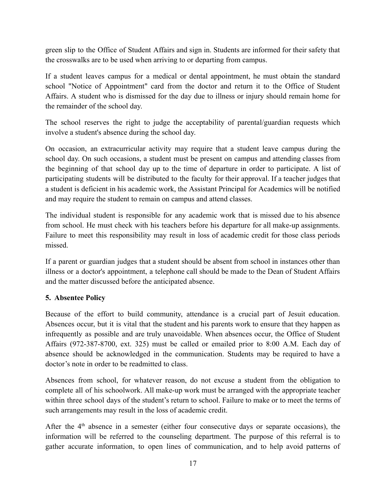green slip to the Office of Student Affairs and sign in. Students are informed for their safety that the crosswalks are to be used when arriving to or departing from campus.

If a student leaves campus for a medical or dental appointment, he must obtain the standard school "Notice of Appointment" card from the doctor and return it to the Office of Student Affairs. A student who is dismissed for the day due to illness or injury should remain home for the remainder of the school day.

The school reserves the right to judge the acceptability of parental/guardian requests which involve a student's absence during the school day.

On occasion, an extracurricular activity may require that a student leave campus during the school day. On such occasions, a student must be present on campus and attending classes from the beginning of that school day up to the time of departure in order to participate. A list of participating students will be distributed to the faculty for their approval. If a teacher judges that a student is deficient in his academic work, the Assistant Principal for Academics will be notified and may require the student to remain on campus and attend classes.

The individual student is responsible for any academic work that is missed due to his absence from school. He must check with his teachers before his departure for all make-up assignments. Failure to meet this responsibility may result in loss of academic credit for those class periods missed.

If a parent or guardian judges that a student should be absent from school in instances other than illness or a doctor's appointment, a telephone call should be made to the Dean of Student Affairs and the matter discussed before the anticipated absence.

## <span id="page-16-0"></span>**5. Absentee Policy**

Because of the effort to build community, attendance is a crucial part of Jesuit education. Absences occur, but it is vital that the student and his parents work to ensure that they happen as infrequently as possible and are truly unavoidable. When absences occur, the Office of Student Affairs (972-387-8700, ext. 325) must be called or emailed prior to 8:00 A.M. Each day of absence should be acknowledged in the communication. Students may be required to have a doctor's note in order to be readmitted to class.

Absences from school, for whatever reason, do not excuse a student from the obligation to complete all of his schoolwork. All make-up work must be arranged with the appropriate teacher within three school days of the student's return to school. Failure to make or to meet the terms of such arrangements may result in the loss of academic credit.

After the  $4<sup>th</sup>$  absence in a semester (either four consecutive days or separate occasions), the information will be referred to the counseling department. The purpose of this referral is to gather accurate information, to open lines of communication, and to help avoid patterns of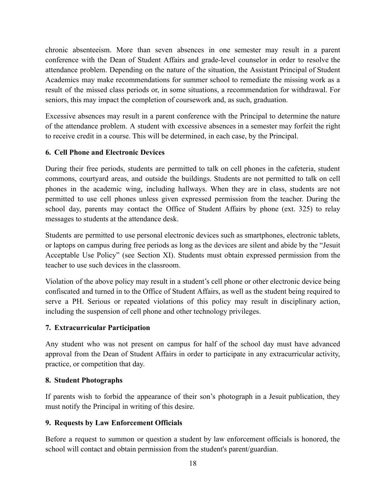chronic absenteeism. More than seven absences in one semester may result in a parent conference with the Dean of Student Affairs and grade-level counselor in order to resolve the attendance problem. Depending on the nature of the situation, the Assistant Principal of Student Academics may make recommendations for summer school to remediate the missing work as a result of the missed class periods or, in some situations, a recommendation for withdrawal. For seniors, this may impact the completion of coursework and, as such, graduation.

Excessive absences may result in a parent conference with the Principal to determine the nature of the attendance problem. A student with excessive absences in a semester may forfeit the right to receive credit in a course. This will be determined, in each case, by the Principal.

## <span id="page-17-0"></span>**6. Cell Phone and Electronic Devices**

During their free periods, students are permitted to talk on cell phones in the cafeteria, student commons, courtyard areas, and outside the buildings. Students are not permitted to talk on cell phones in the academic wing, including hallways. When they are in class, students are not permitted to use cell phones unless given expressed permission from the teacher. During the school day, parents may contact the Office of Student Affairs by phone (ext. 325) to relay messages to students at the attendance desk.

Students are permitted to use personal electronic devices such as smartphones, electronic tablets, or laptops on campus during free periods as long as the devices are silent and abide by the "Jesuit Acceptable Use Policy" (see Section XI). Students must obtain expressed permission from the teacher to use such devices in the classroom.

Violation of the above policy may result in a student's cell phone or other electronic device being confiscated and turned in to the Office of Student Affairs, as well as the student being required to serve a PH. Serious or repeated violations of this policy may result in disciplinary action, including the suspension of cell phone and other technology privileges.

## <span id="page-17-1"></span>**7. Extracurricular Participation**

Any student who was not present on campus for half of the school day must have advanced approval from the Dean of Student Affairs in order to participate in any extracurricular activity, practice, or competition that day.

## <span id="page-17-2"></span>**8. Student Photographs**

If parents wish to forbid the appearance of their son's photograph in a Jesuit publication, they must notify the Principal in writing of this desire.

# <span id="page-17-3"></span>**9. Requests by Law Enforcement Officials**

Before a request to summon or question a student by law enforcement officials is honored, the school will contact and obtain permission from the student's parent/guardian.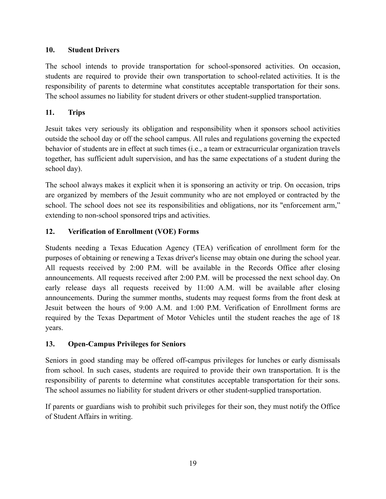# <span id="page-18-0"></span>**10. Student Drivers**

The school intends to provide transportation for school-sponsored activities. On occasion, students are required to provide their own transportation to school-related activities. It is the responsibility of parents to determine what constitutes acceptable transportation for their sons. The school assumes no liability for student drivers or other student-supplied transportation.

## <span id="page-18-1"></span>**11. Trips**

Jesuit takes very seriously its obligation and responsibility when it sponsors school activities outside the school day or off the school campus. All rules and regulations governing the expected behavior of students are in effect at such times (i.e., a team or extracurricular organization travels together, has sufficient adult supervision, and has the same expectations of a student during the school day).

The school always makes it explicit when it is sponsoring an activity or trip. On occasion, trips are organized by members of the Jesuit community who are not employed or contracted by the school. The school does not see its responsibilities and obligations, nor its "enforcement arm," extending to non-school sponsored trips and activities.

# <span id="page-18-2"></span>**12. Verification of Enrollment (VOE) Forms**

Students needing a Texas Education Agency (TEA) verification of enrollment form for the purposes of obtaining or renewing a Texas driver's license may obtain one during the school year. All requests received by 2:00 P.M. will be available in the Records Office after closing announcements. All requests received after 2:00 P.M. will be processed the next school day. On early release days all requests received by 11:00 A.M. will be available after closing announcements. During the summer months, students may request forms from the front desk at Jesuit between the hours of 9:00 A.M. and 1:00 P.M. Verification of Enrollment forms are required by the Texas Department of Motor Vehicles until the student reaches the age of 18 years.

## <span id="page-18-3"></span>**13. Open-Campus Privileges for Seniors**

Seniors in good standing may be offered off-campus privileges for lunches or early dismissals from school. In such cases, students are required to provide their own transportation. It is the responsibility of parents to determine what constitutes acceptable transportation for their sons. The school assumes no liability for student drivers or other student-supplied transportation.

If parents or guardians wish to prohibit such privileges for their son, they must notify the Office of Student Affairs in writing.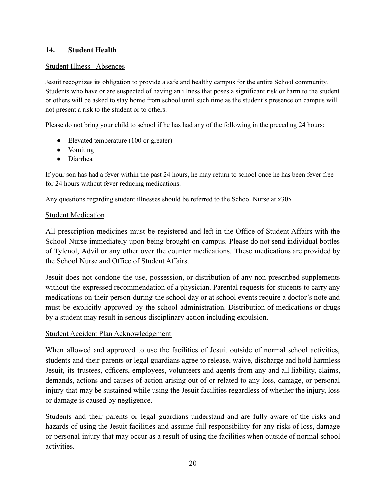## <span id="page-19-0"></span>**14. Student Health**

### Student Illness - Absences

Jesuit recognizes its obligation to provide a safe and healthy campus for the entire School community. Students who have or are suspected of having an illness that poses a significant risk or harm to the student or others will be asked to stay home from school until such time as the student's presence on campus will not present a risk to the student or to others.

Please do not bring your child to school if he has had any of the following in the preceding 24 hours:

- Elevated temperature (100 or greater)
- Vomiting
- Diarrhea

If your son has had a fever within the past 24 hours, he may return to school once he has been fever free for 24 hours without fever reducing medications.

Any questions regarding student illnesses should be referred to the School Nurse at x305.

## **Student Medication**

All prescription medicines must be registered and left in the Office of Student Affairs with the School Nurse immediately upon being brought on campus. Please do not send individual bottles of Tylenol, Advil or any other over the counter medications. These medications are provided by the School Nurse and Office of Student Affairs.

Jesuit does not condone the use, possession, or distribution of any non-prescribed supplements without the expressed recommendation of a physician. Parental requests for students to carry any medications on their person during the school day or at school events require a doctor's note and must be explicitly approved by the school administration. Distribution of medications or drugs by a student may result in serious disciplinary action including expulsion.

## Student Accident Plan Acknowledgement

When allowed and approved to use the facilities of Jesuit outside of normal school activities, students and their parents or legal guardians agree to release, waive, discharge and hold harmless Jesuit, its trustees, officers, employees, volunteers and agents from any and all liability, claims, demands, actions and causes of action arising out of or related to any loss, damage, or personal injury that may be sustained while using the Jesuit facilities regardless of whether the injury, loss or damage is caused by negligence.

Students and their parents or legal guardians understand and are fully aware of the risks and hazards of using the Jesuit facilities and assume full responsibility for any risks of loss, damage or personal injury that may occur as a result of using the facilities when outside of normal school activities.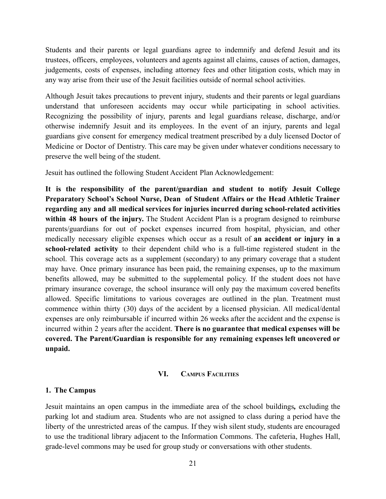Students and their parents or legal guardians agree to indemnify and defend Jesuit and its trustees, officers, employees, volunteers and agents against all claims, causes of action, damages, judgements, costs of expenses, including attorney fees and other litigation costs, which may in any way arise from their use of the Jesuit facilities outside of normal school activities.

Although Jesuit takes precautions to prevent injury, students and their parents or legal guardians understand that unforeseen accidents may occur while participating in school activities. Recognizing the possibility of injury, parents and legal guardians release, discharge, and/or otherwise indemnify Jesuit and its employees. In the event of an injury, parents and legal guardians give consent for emergency medical treatment prescribed by a duly licensed Doctor of Medicine or Doctor of Dentistry. This care may be given under whatever conditions necessary to preserve the well being of the student.

Jesuit has outlined the following Student Accident Plan Acknowledgement:

**It is the responsibility of the parent/guardian and student to notify Jesuit College Preparatory School's School Nurse, Dean of Student Affairs or the Head Athletic Trainer regarding any and all medical services for injuries incurred during school-related activities within 48 hours of the injury.** The Student Accident Plan is a program designed to reimburse parents/guardians for out of pocket expenses incurred from hospital, physician, and other medically necessary eligible expenses which occur as a result of **an accident or injury in a school-related activity** to their dependent child who is a full-time registered student in the school. This coverage acts as a supplement (secondary) to any primary coverage that a student may have. Once primary insurance has been paid, the remaining expenses, up to the maximum benefits allowed, may be submitted to the supplemental policy. If the student does not have primary insurance coverage, the school insurance will only pay the maximum covered benefits allowed. Specific limitations to various coverages are outlined in the plan. Treatment must commence within thirty (30) days of the accident by a licensed physician. All medical/dental expenses are only reimbursable if incurred within 26 weeks after the accident and the expense is incurred within 2 years after the accident. **There is no guarantee that medical expenses will be covered. The Parent/Guardian is responsible for any remaining expenses left uncovered or unpaid.**

#### **VI. CAMPUS FACILITIES**

#### <span id="page-20-1"></span><span id="page-20-0"></span>**1. The Campus**

Jesuit maintains an open campus in the immediate area of the school buildings*,* excluding the parking lot and stadium area. Students who are not assigned to class during a period have the liberty of the unrestricted areas of the campus. If they wish silent study, students are encouraged to use the traditional library adjacent to the Information Commons. The cafeteria, Hughes Hall, grade-level commons may be used for group study or conversations with other students.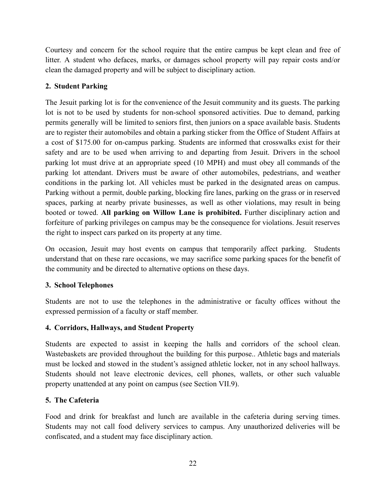Courtesy and concern for the school require that the entire campus be kept clean and free of litter. A student who defaces, marks, or damages school property will pay repair costs and/or clean the damaged property and will be subject to disciplinary action.

# <span id="page-21-0"></span>**2. Student Parking**

The Jesuit parking lot is for the convenience of the Jesuit community and its guests. The parking lot is not to be used by students for non-school sponsored activities. Due to demand, parking permits generally will be limited to seniors first, then juniors on a space available basis. Students are to register their automobiles and obtain a parking sticker from the Office of Student Affairs at a cost of \$175.00 for on-campus parking. Students are informed that crosswalks exist for their safety and are to be used when arriving to and departing from Jesuit. Drivers in the school parking lot must drive at an appropriate speed (10 MPH) and must obey all commands of the parking lot attendant. Drivers must be aware of other automobiles, pedestrians, and weather conditions in the parking lot. All vehicles must be parked in the designated areas on campus. Parking without a permit, double parking, blocking fire lanes, parking on the grass or in reserved spaces, parking at nearby private businesses, as well as other violations, may result in being booted or towed. **All parking on Willow Lane is prohibited.** Further disciplinary action and forfeiture of parking privileges on campus may be the consequence for violations. Jesuit reserves the right to inspect cars parked on its property at any time.

On occasion, Jesuit may host events on campus that temporarily affect parking. Students understand that on these rare occasions, we may sacrifice some parking spaces for the benefit of the community and be directed to alternative options on these days.

## <span id="page-21-1"></span>**3. School Telephones**

Students are not to use the telephones in the administrative or faculty offices without the expressed permission of a faculty or staff member.

## <span id="page-21-2"></span>**4. Corridors, Hallways, and Student Property**

Students are expected to assist in keeping the halls and corridors of the school clean. Wastebaskets are provided throughout the building for this purpose.. Athletic bags and materials must be locked and stowed in the student's assigned athletic locker, not in any school hallways. Students should not leave electronic devices, cell phones, wallets, or other such valuable property unattended at any point on campus (see Section VII.9).

## <span id="page-21-3"></span>**5. The Cafeteria**

Food and drink for breakfast and lunch are available in the cafeteria during serving times. Students may not call food delivery services to campus. Any unauthorized deliveries will be confiscated, and a student may face disciplinary action.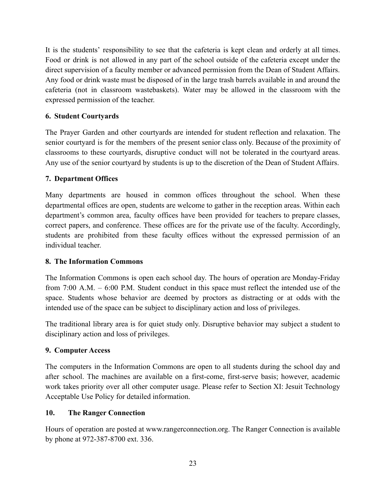It is the students' responsibility to see that the cafeteria is kept clean and orderly at all times. Food or drink is not allowed in any part of the school outside of the cafeteria except under the direct supervision of a faculty member or advanced permission from the Dean of Student Affairs. Any food or drink waste must be disposed of in the large trash barrels available in and around the cafeteria (not in classroom wastebaskets). Water may be allowed in the classroom with the expressed permission of the teacher.

## <span id="page-22-0"></span>**6. Student Courtyards**

The Prayer Garden and other courtyards are intended for student reflection and relaxation. The senior courtyard is for the members of the present senior class only. Because of the proximity of classrooms to these courtyards, disruptive conduct will not be tolerated in the courtyard areas. Any use of the senior courtyard by students is up to the discretion of the Dean of Student Affairs.

# <span id="page-22-1"></span>**7. Department Offices**

Many departments are housed in common offices throughout the school. When these departmental offices are open, students are welcome to gather in the reception areas. Within each department's common area, faculty offices have been provided for teachers to prepare classes, correct papers, and conference. These offices are for the private use of the faculty. Accordingly, students are prohibited from these faculty offices without the expressed permission of an individual teacher.

## <span id="page-22-2"></span>**8. The Information Commons**

The Information Commons is open each school day. The hours of operation are Monday-Friday from 7:00 A.M. – 6:00 P.M. Student conduct in this space must reflect the intended use of the space. Students whose behavior are deemed by proctors as distracting or at odds with the intended use of the space can be subject to disciplinary action and loss of privileges.

The traditional library area is for quiet study only. Disruptive behavior may subject a student to disciplinary action and loss of privileges.

# <span id="page-22-3"></span>**9. Computer Access**

The computers in the Information Commons are open to all students during the school day and after school. The machines are available on a first-come, first-serve basis; however, academic work takes priority over all other computer usage. Please refer to Section XI: Jesuit Technology Acceptable Use Policy for detailed information.

# <span id="page-22-4"></span>**10. The Ranger Connection**

Hours of operation are posted at www.rangerconnection.org. The Ranger Connection is available by phone at 972-387-8700 ext. 336.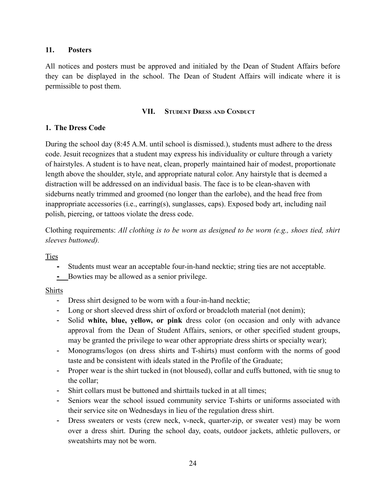### <span id="page-23-0"></span>**11. Posters**

All notices and posters must be approved and initialed by the Dean of Student Affairs before they can be displayed in the school. The Dean of Student Affairs will indicate where it is permissible to post them.

#### **VII. STUDENT DRESS AND CONDUCT**

## <span id="page-23-2"></span><span id="page-23-1"></span>**1. The Dress Code**

During the school day (8:45 A.M. until school is dismissed.), students must adhere to the dress code. Jesuit recognizes that a student may express his individuality or culture through a variety of hairstyles. A student is to have neat, clean, properly maintained hair of modest, proportionate length above the shoulder, style, and appropriate natural color. Any hairstyle that is deemed a distraction will be addressed on an individual basis. The face is to be clean-shaven with sideburns neatly trimmed and groomed (no longer than the earlobe), and the head free from inappropriate accessories (i.e., earring(s), sunglasses, caps). Exposed body art, including nail polish, piercing, or tattoos violate the dress code.

Clothing requirements: *All clothing is to be worn as designed to be worn (e.g., shoes tied, shirt sleeves buttoned).*

**Ties** 

- **-** Students must wear an acceptable four-in-hand necktie; string ties are not acceptable.
- **-** Bowties may be allowed as a senior privilege.

## Shirts

- Dress shirt designed to be worn with a four-in-hand necktie;
- Long or short sleeved dress shirt of oxford or broadcloth material (not denim);
- Solid **white, blue, yellow, or pink** dress color (on occasion and only with advance approval from the Dean of Student Affairs, seniors, or other specified student groups, may be granted the privilege to wear other appropriate dress shirts or specialty wear);
- Monograms/logos (on dress shirts and T-shirts) must conform with the norms of good taste and be consistent with ideals stated in the Profile of the Graduate;
- Proper wear is the shirt tucked in (not bloused), collar and cuffs buttoned, with tie snug to the collar;
- Shirt collars must be buttoned and shirttails tucked in at all times;
- Seniors wear the school issued community service T-shirts or uniforms associated with their service site on Wednesdays in lieu of the regulation dress shirt.
- Dress sweaters or vests (crew neck, v-neck, quarter-zip, or sweater vest) may be worn over a dress shirt. During the school day, coats, outdoor jackets, athletic pullovers, or sweatshirts may not be worn.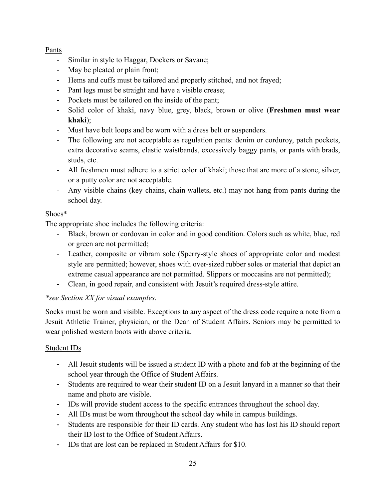## Pants

- Similar in style to Haggar, Dockers or Savane;
- May be pleated or plain front;
- Hems and cuffs must be tailored and properly stitched, and not frayed;
- Pant legs must be straight and have a visible crease;
- Pockets must be tailored on the inside of the pant;
- Solid color of khaki, navy blue, grey, black, brown or olive (**Freshmen must wear khaki**);
- Must have belt loops and be worn with a dress belt or suspenders.
- The following are not acceptable as regulation pants: denim or corduroy, patch pockets, extra decorative seams, elastic waistbands, excessively baggy pants, or pants with brads, studs, etc.
- All freshmen must adhere to a strict color of khaki; those that are more of a stone, silver, or a putty color are not acceptable.
- Any visible chains (key chains, chain wallets, etc.) may not hang from pants during the school day.

# Shoes\*

The appropriate shoe includes the following criteria:

- Black, brown or cordovan in color and in good condition. Colors such as white, blue, red or green are not permitted;
- Leather, composite or vibram sole (Sperry-style shoes of appropriate color and modest style are permitted; however, shoes with over-sized rubber soles or material that depict an extreme casual appearance are not permitted. Slippers or moccasins are not permitted);
- Clean, in good repair, and consistent with Jesuit's required dress-style attire.

# *\*see Section XX for visual examples.*

Socks must be worn and visible. Exceptions to any aspect of the dress code require a note from a Jesuit Athletic Trainer, physician, or the Dean of Student Affairs. Seniors may be permitted to wear polished western boots with above criteria.

# Student IDs

- All Jesuit students will be issued a student ID with a photo and fob at the beginning of the school year through the Office of Student Affairs.
- Students are required to wear their student ID on a Jesuit lanyard in a manner so that their name and photo are visible.
- IDs will provide student access to the specific entrances throughout the school day.
- All IDs must be worn throughout the school day while in campus buildings.
- Students are responsible for their ID cards. Any student who has lost his ID should report their ID lost to the Office of Student Affairs.
- IDs that are lost can be replaced in Student Affairs for \$10.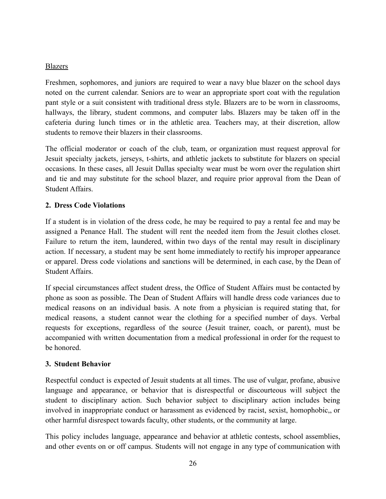## Blazers

Freshmen, sophomores, and juniors are required to wear a navy blue blazer on the school days noted on the current calendar. Seniors are to wear an appropriate sport coat with the regulation pant style or a suit consistent with traditional dress style. Blazers are to be worn in classrooms, hallways, the library, student commons, and computer labs. Blazers may be taken off in the cafeteria during lunch times or in the athletic area. Teachers may, at their discretion, allow students to remove their blazers in their classrooms.

The official moderator or coach of the club, team, or organization must request approval for Jesuit specialty jackets, jerseys, t-shirts, and athletic jackets to substitute for blazers on special occasions. In these cases, all Jesuit Dallas specialty wear must be worn over the regulation shirt and tie and may substitute for the school blazer, and require prior approval from the Dean of Student Affairs.

# <span id="page-25-0"></span>**2. Dress Code Violations**

If a student is in violation of the dress code, he may be required to pay a rental fee and may be assigned a Penance Hall. The student will rent the needed item from the Jesuit clothes closet. Failure to return the item, laundered, within two days of the rental may result in disciplinary action. If necessary, a student may be sent home immediately to rectify his improper appearance or apparel. Dress code violations and sanctions will be determined, in each case, by the Dean of Student Affairs.

If special circumstances affect student dress, the Office of Student Affairs must be contacted by phone as soon as possible. The Dean of Student Affairs will handle dress code variances due to medical reasons on an individual basis. A note from a physician is required stating that, for medical reasons, a student cannot wear the clothing for a specified number of days. Verbal requests for exceptions, regardless of the source (Jesuit trainer, coach, or parent), must be accompanied with written documentation from a medical professional in order for the request to be honored.

## <span id="page-25-1"></span>**3. Student Behavior**

Respectful conduct is expected of Jesuit students at all times. The use of vulgar, profane, abusive language and appearance, or behavior that is disrespectful or discourteous will subject the student to disciplinary action. Such behavior subject to disciplinary action includes being involved in inappropriate conduct or harassment as evidenced by racist, sexist, homophobic,, or other harmful disrespect towards faculty, other students, or the community at large.

This policy includes language, appearance and behavior at athletic contests, school assemblies, and other events on or off campus. Students will not engage in any type of communication with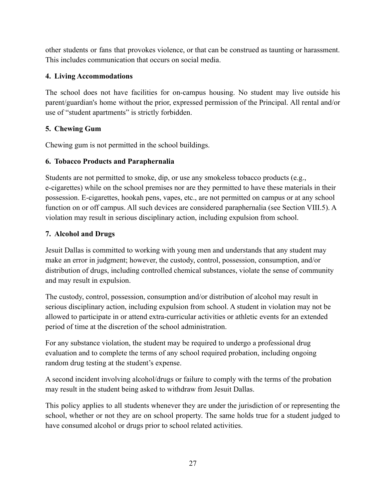other students or fans that provokes violence, or that can be construed as taunting or harassment. This includes communication that occurs on social media.

## <span id="page-26-0"></span>**4. Living Accommodations**

The school does not have facilities for on-campus housing. No student may live outside his parent/guardian's home without the prior, expressed permission of the Principal. All rental and/or use of "student apartments" is strictly forbidden.

# <span id="page-26-1"></span>**5. Chewing Gum**

Chewing gum is not permitted in the school buildings.

## <span id="page-26-2"></span>**6. Tobacco Products and Paraphernalia**

Students are not permitted to smoke, dip, or use any smokeless tobacco products (e.g., e-cigarettes) while on the school premises nor are they permitted to have these materials in their possession. E-cigarettes, hookah pens, vapes, etc., are not permitted on campus or at any school function on or off campus. All such devices are considered paraphernalia (see Section VIII.5). A violation may result in serious disciplinary action, including expulsion from school.

## <span id="page-26-3"></span>**7. Alcohol and Drugs**

Jesuit Dallas is committed to working with young men and understands that any student may make an error in judgment; however, the custody, control, possession, consumption, and/or distribution of drugs, including controlled chemical substances, violate the sense of community and may result in expulsion.

The custody, control, possession, consumption and/or distribution of alcohol may result in serious disciplinary action, including expulsion from school. A student in violation may not be allowed to participate in or attend extra-curricular activities or athletic events for an extended period of time at the discretion of the school administration.

For any substance violation, the student may be required to undergo a professional drug evaluation and to complete the terms of any school required probation, including ongoing random drug testing at the student's expense.

A second incident involving alcohol/drugs or failure to comply with the terms of the probation may result in the student being asked to withdraw from Jesuit Dallas.

This policy applies to all students whenever they are under the jurisdiction of or representing the school, whether or not they are on school property. The same holds true for a student judged to have consumed alcohol or drugs prior to school related activities.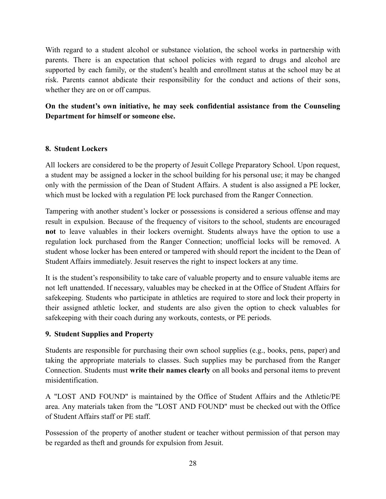With regard to a student alcohol or substance violation, the school works in partnership with parents. There is an expectation that school policies with regard to drugs and alcohol are supported by each family, or the student's health and enrollment status at the school may be at risk. Parents cannot abdicate their responsibility for the conduct and actions of their sons, whether they are on or off campus.

# **On the student's own initiative, he may seek confidential assistance from the Counseling Department for himself or someone else.**

## <span id="page-27-0"></span>**8. Student Lockers**

All lockers are considered to be the property of Jesuit College Preparatory School. Upon request, a student may be assigned a locker in the school building for his personal use; it may be changed only with the permission of the Dean of Student Affairs. A student is also assigned a PE locker, which must be locked with a regulation PE lock purchased from the Ranger Connection.

Tampering with another student's locker or possessions is considered a serious offense and may result in expulsion. Because of the frequency of visitors to the school, students are encouraged **not** to leave valuables in their lockers overnight. Students always have the option to use a regulation lock purchased from the Ranger Connection; unofficial locks will be removed. A student whose locker has been entered or tampered with should report the incident to the Dean of Student Affairs immediately. Jesuit reserves the right to inspect lockers at any time.

It is the student's responsibility to take care of valuable property and to ensure valuable items are not left unattended. If necessary, valuables may be checked in at the Office of Student Affairs for safekeeping. Students who participate in athletics are required to store and lock their property in their assigned athletic locker, and students are also given the option to check valuables for safekeeping with their coach during any workouts, contests, or PE periods.

## <span id="page-27-1"></span>**9. Student Supplies and Property**

Students are responsible for purchasing their own school supplies (e.g., books, pens, paper) and taking the appropriate materials to classes. Such supplies may be purchased from the Ranger Connection. Students must **write their names clearly** on all books and personal items to prevent misidentification.

A "LOST AND FOUND" is maintained by the Office of Student Affairs and the Athletic/PE area. Any materials taken from the "LOST AND FOUND" must be checked out with the Office of Student Affairs staff or PE staff.

Possession of the property of another student or teacher without permission of that person may be regarded as theft and grounds for expulsion from Jesuit.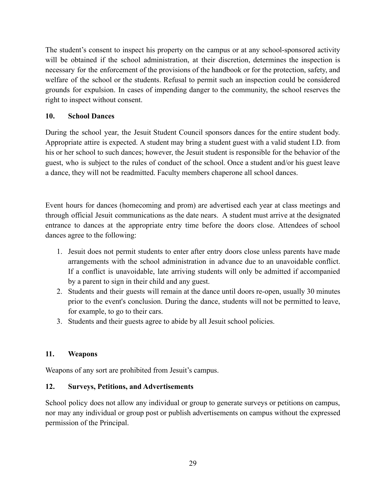The student's consent to inspect his property on the campus or at any school-sponsored activity will be obtained if the school administration, at their discretion, determines the inspection is necessary for the enforcement of the provisions of the handbook or for the protection, safety, and welfare of the school or the students. Refusal to permit such an inspection could be considered grounds for expulsion. In cases of impending danger to the community, the school reserves the right to inspect without consent.

## <span id="page-28-0"></span>**10. School Dances**

During the school year, the Jesuit Student Council sponsors dances for the entire student body. Appropriate attire is expected. A student may bring a student guest with a valid student I.D. from his or her school to such dances; however, the Jesuit student is responsible for the behavior of the guest, who is subject to the rules of conduct of the school. Once a student and/or his guest leave a dance, they will not be readmitted. Faculty members chaperone all school dances.

Event hours for dances (homecoming and prom) are advertised each year at class meetings and through official Jesuit communications as the date nears. A student must arrive at the designated entrance to dances at the appropriate entry time before the doors close. Attendees of school dances agree to the following:

- 1. Jesuit does not permit students to enter after entry doors close unless parents have made arrangements with the school administration in advance due to an unavoidable conflict. If a conflict is unavoidable, late arriving students will only be admitted if accompanied by a parent to sign in their child and any guest.
- 2. Students and their guests will remain at the dance until doors re-open, usually 30 minutes prior to the event's conclusion. During the dance, students will not be permitted to leave, for example, to go to their cars.
- 3. Students and their guests agree to abide by all Jesuit school policies.

## <span id="page-28-1"></span>**11. Weapons**

Weapons of any sort are prohibited from Jesuit's campus.

## <span id="page-28-2"></span>**12. Surveys, Petitions, and Advertisements**

School policy does not allow any individual or group to generate surveys or petitions on campus, nor may any individual or group post or publish advertisements on campus without the expressed permission of the Principal.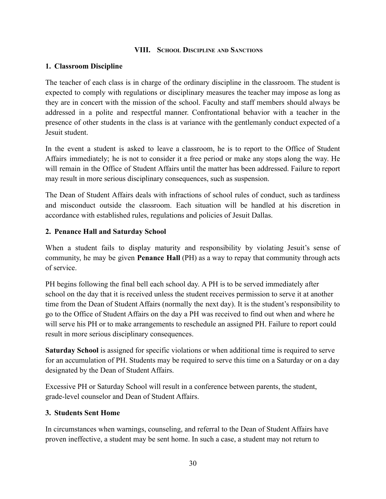### **VIII. SCHOOL DISCIPLINE AND SANCTIONS**

## <span id="page-29-1"></span><span id="page-29-0"></span>**1. Classroom Discipline**

The teacher of each class is in charge of the ordinary discipline in the classroom. The student is expected to comply with regulations or disciplinary measures the teacher may impose as long as they are in concert with the mission of the school. Faculty and staff members should always be addressed in a polite and respectful manner. Confrontational behavior with a teacher in the presence of other students in the class is at variance with the gentlemanly conduct expected of a Jesuit student.

In the event a student is asked to leave a classroom, he is to report to the Office of Student Affairs immediately; he is not to consider it a free period or make any stops along the way. He will remain in the Office of Student Affairs until the matter has been addressed. Failure to report may result in more serious disciplinary consequences, such as suspension.

The Dean of Student Affairs deals with infractions of school rules of conduct, such as tardiness and misconduct outside the classroom. Each situation will be handled at his discretion in accordance with established rules, regulations and policies of Jesuit Dallas.

### <span id="page-29-2"></span>**2. Penance Hall and Saturday School**

When a student fails to display maturity and responsibility by violating Jesuit's sense of community, he may be given **Penance Hall** (PH) as a way to repay that community through acts of service.

PH begins following the final bell each school day. A PH is to be served immediately after school on the day that it is received unless the student receives permission to serve it at another time from the Dean of Student Affairs (normally the next day). It is the student's responsibility to go to the Office of Student Affairs on the day a PH was received to find out when and where he will serve his PH or to make arrangements to reschedule an assigned PH. Failure to report could result in more serious disciplinary consequences.

**Saturday School** is assigned for specific violations or when additional time is required to serve for an accumulation of PH. Students may be required to serve this time on a Saturday or on a day designated by the Dean of Student Affairs.

Excessive PH or Saturday School will result in a conference between parents, the student, grade-level counselor and Dean of Student Affairs.

#### <span id="page-29-3"></span>**3. Students Sent Home**

In circumstances when warnings, counseling, and referral to the Dean of Student Affairs have proven ineffective, a student may be sent home. In such a case, a student may not return to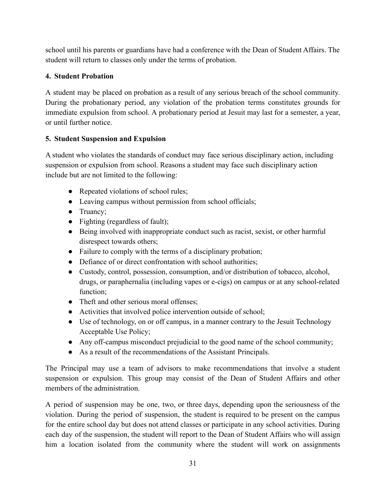school until his parents or guardians have had a conference with the Dean of Student Affairs. The student will return to classes only under the terms of probation.

# <span id="page-30-0"></span>**4. Student Probation**

A student may be placed on probation as a result of any serious breach of the school community. During the probationary period, any violation of the probation terms constitutes grounds for immediate expulsion from school. A probationary period at Jesuit may last for a semester, a year, or until further notice.

# <span id="page-30-1"></span>**5. Student Suspension and Expulsion**

A student who violates the standards of conduct may face serious disciplinary action, including suspension or expulsion from school. Reasons a student may face such disciplinary action include but are not limited to the following:

- Repeated violations of school rules;
- Leaving campus without permission from school officials;
- Truancy;
- Fighting (regardless of fault);
- Being involved with inappropriate conduct such as racist, sexist, or other harmful disrespect towards others;
- Failure to comply with the terms of a disciplinary probation;
- Defiance of or direct confrontation with school authorities;
- Custody, control, possession, consumption, and/or distribution of tobacco, alcohol, drugs, or paraphernalia (including vapes or e-cigs) on campus or at any school-related function;
- Theft and other serious moral offenses;
- Activities that involved police intervention outside of school;
- Use of technology, on or off campus, in a manner contrary to the Jesuit Technology Acceptable Use Policy;
- Any off-campus misconduct prejudicial to the good name of the school community;
- As a result of the recommendations of the Assistant Principals.

The Principal may use a team of advisors to make recommendations that involve a student suspension or expulsion. This group may consist of the Dean of Student Affairs and other members of the administration.

A period of suspension may be one, two, or three days, depending upon the seriousness of the violation. During the period of suspension, the student is required to be present on the campus for the entire school day but does not attend classes or participate in any school activities. During each day of the suspension, the student will report to the Dean of Student Affairs who will assign him a location isolated from the community where the student will work on assignments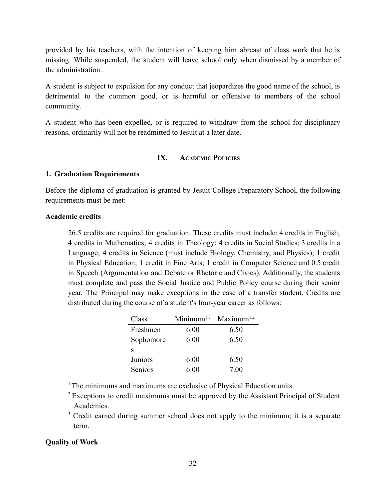provided by his teachers, with the intention of keeping him abreast of class work that he is missing. While suspended, the student will leave school only when dismissed by a member of the administration..

A student is subject to expulsion for any conduct that jeopardizes the good name of the school, is detrimental to the common good, or is harmful or offensive to members of the school community.

<span id="page-31-0"></span>A student who has been expelled, or is required to withdraw from the school for disciplinary reasons, ordinarily will not be readmitted to Jesuit at a later date.

## **IX. ACADEMIC POLICIES**

#### <span id="page-31-1"></span>**1. Graduation Requirements**

Before the diploma of graduation is granted by Jesuit College Preparatory School, the following requirements must be met:

#### **Academic credits**

26.5 credits are required for graduation. These credits must include: 4 credits in English; 4 credits in Mathematics; 4 credits in Theology; 4 credits in Social Studies; 3 credits in a Language; 4 credits in Science (must include Biology, Chemistry, and Physics); 1 credit in Physical Education; 1 credit in Fine Arts; 1 credit in Computer Science and 0.5 credit in Speech (Argumentation and Debate or Rhetoric and Civics). Additionally, the students must complete and pass the Social Justice and Public Policy course during their senior year. The Principal may make exceptions in the case of a transfer student. Credits are distributed during the course of a student's four-year career as follows:

| Class     | Minimum <sup>1,3</sup> | Maximum <sup>1,2</sup> |
|-----------|------------------------|------------------------|
| Freshmen  | 6.00                   | 6.50                   |
| Sophomore | 6.00                   | 6.50                   |
| S         |                        |                        |
| Juniors   | 6.00                   | 6.50                   |
| Seniors   | 6.00                   | 7.00                   |

<sup>1</sup>The minimums and maximums are exclusive of Physical Education units.

- <sup>2</sup> Exceptions to credit maximums must be approved by the Assistant Principal of Student Academics.
- <sup>3</sup> Credit earned during summer school does not apply to the minimum; it is a separate term.

#### **Quality of Work**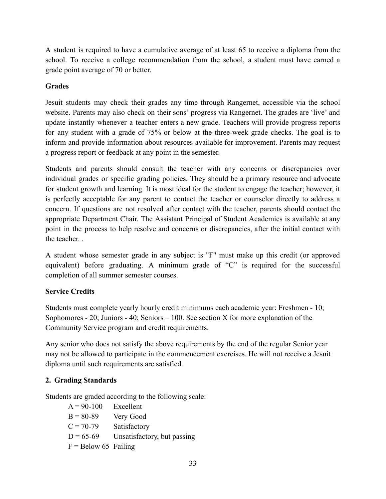A student is required to have a cumulative average of at least 65 to receive a diploma from the school. To receive a college recommendation from the school, a student must have earned a grade point average of 70 or better.

# **Grades**

Jesuit students may check their grades any time through Rangernet, accessible via the school website. Parents may also check on their sons' progress via Rangernet. The grades are 'live' and update instantly whenever a teacher enters a new grade. Teachers will provide progress reports for any student with a grade of 75% or below at the three-week grade checks. The goal is to inform and provide information about resources available for improvement. Parents may request a progress report or feedback at any point in the semester.

Students and parents should consult the teacher with any concerns or discrepancies over individual grades or specific grading policies. They should be a primary resource and advocate for student growth and learning. It is most ideal for the student to engage the teacher; however, it is perfectly acceptable for any parent to contact the teacher or counselor directly to address a concern. If questions are not resolved after contact with the teacher, parents should contact the appropriate Department Chair. The Assistant Principal of Student Academics is available at any point in the process to help resolve and concerns or discrepancies, after the initial contact with the teacher. .

A student whose semester grade in any subject is "F" must make up this credit (or approved equivalent) before graduating. A minimum grade of "C" is required for the successful completion of all summer semester courses.

# **Service Credits**

Students must complete yearly hourly credit minimums each academic year: Freshmen - 10; Sophomores  $-20$ ; Juniors  $-40$ ; Seniors  $-100$ . See section X for more explanation of the Community Service program and credit requirements.

Any senior who does not satisfy the above requirements by the end of the regular Senior year may not be allowed to participate in the commencement exercises. He will not receive a Jesuit diploma until such requirements are satisfied.

# <span id="page-32-0"></span>**2. Grading Standards**

Students are graded according to the following scale:

 $A = 90-100$  Excellent  $B = 80-89$  Very Good  $C = 70-79$  Satisfactory  $D = 65-69$  Unsatisfactory, but passing  $F =$ Below 65 Failing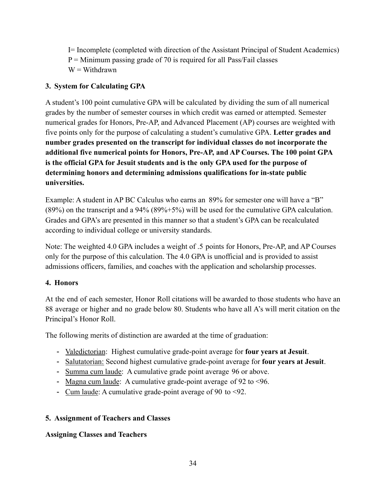I= Incomplete (completed with direction of the Assistant Principal of Student Academics)  $P =$  Minimum passing grade of 70 is required for all Pass/Fail classes  $W = W$ ithdrawn

# <span id="page-33-0"></span>**3. System for Calculating GPA**

A student's 100 point cumulative GPA will be calculated by dividing the sum of all numerical grades by the number of semester courses in which credit was earned or attempted. Semester numerical grades for Honors, Pre-AP, and Advanced Placement (AP) courses are weighted with five points only for the purpose of calculating a student's cumulative GPA. **Letter grades and number grades presented on the transcript for individual classes do not incorporate the additional five numerical points for Honors, Pre-AP, and AP Courses. The 100 point GPA is the official GPA for Jesuit students and is the only GPA used for the purpose of determining honors and determining admissions qualifications for in-state public universities.**

<span id="page-33-1"></span>Example: A student in AP BC Calculus who earns an 89% for semester one will have a "B" (89%) on the transcript and a 94% (89%+5%) will be used for the cumulative GPA calculation. Grades and GPA's are presented in this manner so that a student's GPA can be recalculated according to individual college or university standards.

Note: The weighted 4.0 GPA includes a weight of .5 points for Honors, Pre-AP, and AP Courses only for the purpose of this calculation. The 4.0 GPA is unofficial and is provided to assist admissions officers, families, and coaches with the application and scholarship processes.

# **4. Honors**

At the end of each semester, Honor Roll citations will be awarded to those students who have an 88 average or higher and no grade below 80. Students who have all A's will merit citation on the Principal's Honor Roll.

The following merits of distinction are awarded at the time of graduation:

- Valedictorian: Highest cumulative grade-point average for **four years at Jesuit**.
- Salutatorian: Second highest cumulative grade-point average for **four years at Jesuit**.
- Summa cum laude: A cumulative grade point average 96 or above.
- Magna cum laude: A cumulative grade-point average of 92 to <96.
- Cum laude: A cumulative grade-point average of 90 to <92.

# <span id="page-33-2"></span>**5. Assignment of Teachers and Classes**

# **Assigning Classes and Teachers**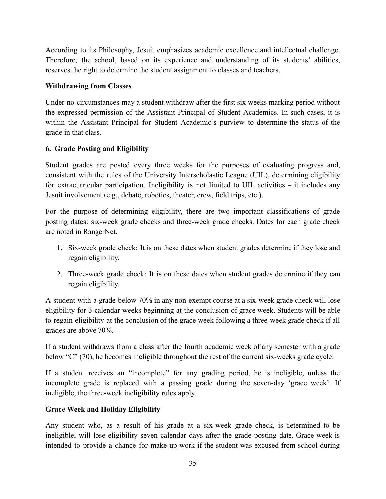According to its Philosophy, Jesuit emphasizes academic excellence and intellectual challenge. Therefore, the school, based on its experience and understanding of its students' abilities, reserves the right to determine the student assignment to classes and teachers.

## **Withdrawing from Classes**

Under no circumstances may a student withdraw after the first six weeks marking period without the expressed permission of the Assistant Principal of Student Academics. In such cases, it is within the Assistant Principal for Student Academic's purview to determine the status of the grade in that class.

# <span id="page-34-0"></span>**6. Grade Posting and Eligibility**

Student grades are posted every three weeks for the purposes of evaluating progress and, consistent with the rules of the University Interscholastic League (UIL), determining eligibility for extracurricular participation. Ineligibility is not limited to UIL activities – it includes any Jesuit involvement (e.g., debate, robotics, theater, crew, field trips, etc.).

For the purpose of determining eligibility, there are two important classifications of grade posting dates: six-week grade checks and three-week grade checks. Dates for each grade check are noted in RangerNet.

- 1. Six-week grade check: It is on these dates when student grades determine if they lose and regain eligibility.
- 2. Three-week grade check: It is on these dates when student grades determine if they can regain eligibility.

A student with a grade below 70% in any non-exempt course at a six-week grade check will lose eligibility for 3 calendar weeks beginning at the conclusion of grace week. Students will be able to regain eligibility at the conclusion of the grace week following a three-week grade check if all grades are above 70%.

If a student withdraws from a class after the fourth academic week of any semester with a grade below "C" (70), he becomes ineligible throughout the rest of the current six-weeks grade cycle.

If a student receives an "incomplete" for any grading period, he is ineligible, unless the incomplete grade is replaced with a passing grade during the seven-day 'grace week'. If ineligible, the three-week ineligibility rules apply.

## **Grace Week and Holiday Eligibility**

Any student who, as a result of his grade at a six-week grade check, is determined to be ineligible, will lose eligibility seven calendar days after the grade posting date. Grace week is intended to provide a chance for make-up work if the student was excused from school during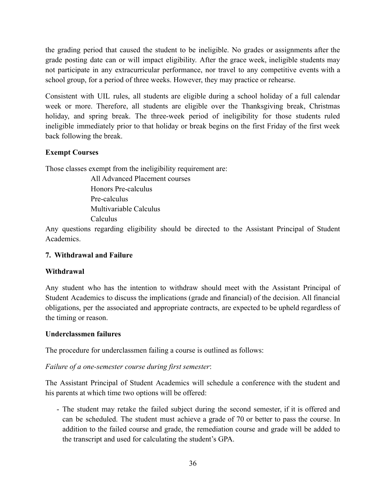the grading period that caused the student to be ineligible. No grades or assignments after the grade posting date can or will impact eligibility. After the grace week, ineligible students may not participate in any extracurricular performance, nor travel to any competitive events with a school group, for a period of three weeks. However, they may practice or rehearse.

Consistent with UIL rules, all students are eligible during a school holiday of a full calendar week or more. Therefore, all students are eligible over the Thanksgiving break, Christmas holiday, and spring break. The three-week period of ineligibility for those students ruled ineligible immediately prior to that holiday or break begins on the first Friday of the first week back following the break.

# **Exempt Courses**

Those classes exempt from the ineligibility requirement are:

All Advanced Placement courses Honors Pre-calculus Pre-calculus Multivariable Calculus Calculus

Any questions regarding eligibility should be directed to the Assistant Principal of Student Academics.

## <span id="page-35-0"></span>**7. Withdrawal and Failure**

## **Withdrawal**

Any student who has the intention to withdraw should meet with the Assistant Principal of Student Academics to discuss the implications (grade and financial) of the decision. All financial obligations, per the associated and appropriate contracts, are expected to be upheld regardless of the timing or reason.

## **Underclassmen failures**

The procedure for underclassmen failing a course is outlined as follows:

## *Failure of a one-semester course during first semester*:

The Assistant Principal of Student Academics will schedule a conference with the student and his parents at which time two options will be offered:

- The student may retake the failed subject during the second semester, if it is offered and can be scheduled. The student must achieve a grade of 70 or better to pass the course. In addition to the failed course and grade, the remediation course and grade will be added to the transcript and used for calculating the student's GPA.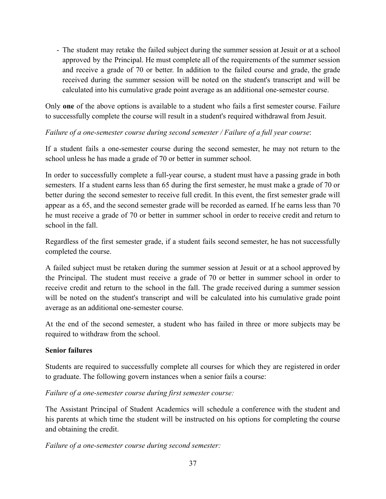- The student may retake the failed subject during the summer session at Jesuit or at a school approved by the Principal. He must complete all of the requirements of the summer session and receive a grade of 70 or better. In addition to the failed course and grade, the grade received during the summer session will be noted on the student's transcript and will be calculated into his cumulative grade point average as an additional one-semester course.

Only **one** of the above options is available to a student who fails a first semester course. Failure to successfully complete the course will result in a student's required withdrawal from Jesuit.

## *Failure of a one-semester course during second semester / Failure of a full year course*:

If a student fails a one-semester course during the second semester, he may not return to the school unless he has made a grade of 70 or better in summer school.

In order to successfully complete a full-year course, a student must have a passing grade in both semesters. If a student earns less than 65 during the first semester, he must make a grade of 70 or better during the second semester to receive full credit. In this event, the first semester grade will appear as a 65, and the second semester grade will be recorded as earned. If he earns less than 70 he must receive a grade of 70 or better in summer school in order to receive credit and return to school in the fall.

Regardless of the first semester grade, if a student fails second semester, he has not successfully completed the course.

A failed subject must be retaken during the summer session at Jesuit or at a school approved by the Principal. The student must receive a grade of 70 or better in summer school in order to receive credit and return to the school in the fall. The grade received during a summer session will be noted on the student's transcript and will be calculated into his cumulative grade point average as an additional one-semester course.

At the end of the second semester, a student who has failed in three or more subjects may be required to withdraw from the school.

## **Senior failures**

Students are required to successfully complete all courses for which they are registered in order to graduate. The following govern instances when a senior fails a course:

## *Failure of a one-semester course during first semester course:*

The Assistant Principal of Student Academics will schedule a conference with the student and his parents at which time the student will be instructed on his options for completing the course and obtaining the credit.

*Failure of a one-semester course during second semester:*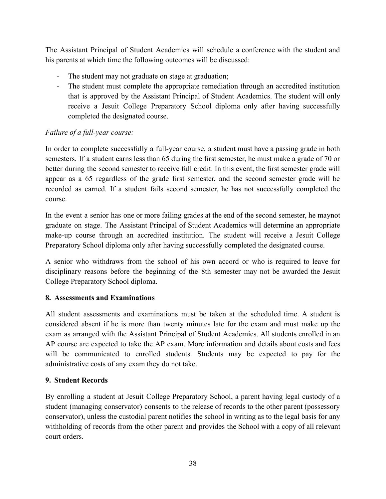The Assistant Principal of Student Academics will schedule a conference with the student and his parents at which time the following outcomes will be discussed:

- The student may not graduate on stage at graduation;
- The student must complete the appropriate remediation through an accredited institution that is approved by the Assistant Principal of Student Academics. The student will only receive a Jesuit College Preparatory School diploma only after having successfully completed the designated course.

# *Failure of a full-year course:*

In order to complete successfully a full-year course, a student must have a passing grade in both semesters. If a student earns less than 65 during the first semester, he must make a grade of 70 or better during the second semester to receive full credit. In this event, the first semester grade will appear as a 65 regardless of the grade first semester, and the second semester grade will be recorded as earned. If a student fails second semester, he has not successfully completed the course.

In the event a senior has one or more failing grades at the end of the second semester, he maynot graduate on stage. The Assistant Principal of Student Academics will determine an appropriate make-up course through an accredited institution. The student will receive a Jesuit College Preparatory School diploma only after having successfully completed the designated course.

A senior who withdraws from the school of his own accord or who is required to leave for disciplinary reasons before the beginning of the 8th semester may not be awarded the Jesuit College Preparatory School diploma.

# **8. Assessments and Examinations**

All student assessments and examinations must be taken at the scheduled time. A student is considered absent if he is more than twenty minutes late for the exam and must make up the exam as arranged with the Assistant Principal of Student Academics. All students enrolled in an AP course are expected to take the AP exam. More information and details about costs and fees will be communicated to enrolled students. Students may be expected to pay for the administrative costs of any exam they do not take.

## <span id="page-37-0"></span>**9. Student Records**

By enrolling a student at Jesuit College Preparatory School, a parent having legal custody of a student (managing conservator) consents to the release of records to the other parent (possessory conservator), unless the custodial parent notifies the school in writing as to the legal basis for any withholding of records from the other parent and provides the School with a copy of all relevant court orders.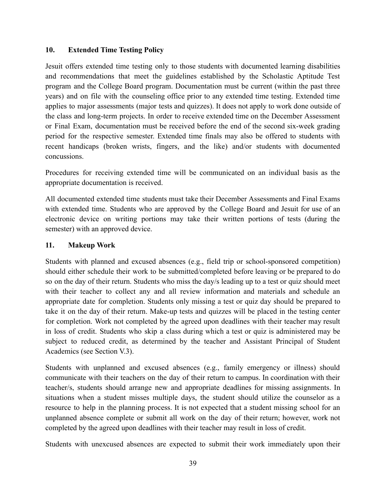## <span id="page-38-0"></span>**10. Extended Time Testing Policy**

Jesuit offers extended time testing only to those students with documented learning disabilities and recommendations that meet the guidelines established by the Scholastic Aptitude Test program and the College Board program. Documentation must be current (within the past three years) and on file with the counseling office prior to any extended time testing. Extended time applies to major assessments (major tests and quizzes). It does not apply to work done outside of the class and long-term projects. In order to receive extended time on the December Assessment or Final Exam, documentation must be received before the end of the second six-week grading period for the respective semester. Extended time finals may also be offered to students with recent handicaps (broken wrists, fingers, and the like) and/or students with documented concussions.

Procedures for receiving extended time will be communicated on an individual basis as the appropriate documentation is received.

All documented extended time students must take their December Assessments and Final Exams with extended time. Students who are approved by the College Board and Jesuit for use of an electronic device on writing portions may take their written portions of tests (during the semester) with an approved device.

### <span id="page-38-1"></span>**11. Makeup Work**

Students with planned and excused absences (e.g., field trip or school-sponsored competition) should either schedule their work to be submitted/completed before leaving or be prepared to do so on the day of their return. Students who miss the day/s leading up to a test or quiz should meet with their teacher to collect any and all review information and materials and schedule an appropriate date for completion. Students only missing a test or quiz day should be prepared to take it on the day of their return. Make-up tests and quizzes will be placed in the testing center for completion. Work not completed by the agreed upon deadlines with their teacher may result in loss of credit. Students who skip a class during which a test or quiz is administered may be subject to reduced credit, as determined by the teacher and Assistant Principal of Student Academics (see Section V.3).

Students with unplanned and excused absences (e.g., family emergency or illness) should communicate with their teachers on the day of their return to campus. In coordination with their teacher/s, students should arrange new and appropriate deadlines for missing assignments. In situations when a student misses multiple days, the student should utilize the counselor as a resource to help in the planning process. It is not expected that a student missing school for an unplanned absence complete or submit all work on the day of their return; however, work not completed by the agreed upon deadlines with their teacher may result in loss of credit.

Students with unexcused absences are expected to submit their work immediately upon their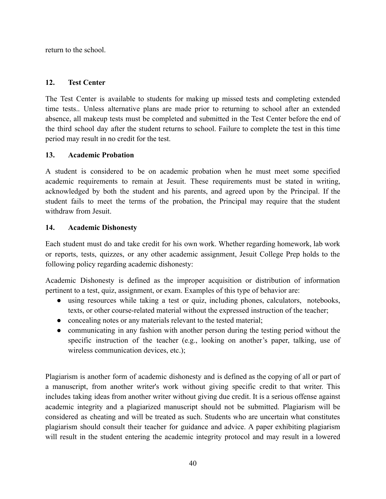return to the school.

## <span id="page-39-0"></span>**12. Test Center**

The Test Center is available to students for making up missed tests and completing extended time tests.. Unless alternative plans are made prior to returning to school after an extended absence, all makeup tests must be completed and submitted in the Test Center before the end of the third school day after the student returns to school. Failure to complete the test in this time period may result in no credit for the test.

## <span id="page-39-1"></span>**13. Academic Probation**

A student is considered to be on academic probation when he must meet some specified academic requirements to remain at Jesuit. These requirements must be stated in writing, acknowledged by both the student and his parents, and agreed upon by the Principal. If the student fails to meet the terms of the probation, the Principal may require that the student withdraw from Jesuit.

## <span id="page-39-2"></span>**14. Academic Dishonesty**

Each student must do and take credit for his own work. Whether regarding homework, lab work or reports, tests, quizzes, or any other academic assignment, Jesuit College Prep holds to the following policy regarding academic dishonesty:

Academic Dishonesty is defined as the improper acquisition or distribution of information pertinent to a test, quiz, assignment, or exam. Examples of this type of behavior are:

- using resources while taking a test or quiz, including phones, calculators, notebooks, texts, or other course-related material without the expressed instruction of the teacher;
- concealing notes or any materials relevant to the tested material;
- communicating in any fashion with another person during the testing period without the specific instruction of the teacher (e.g., looking on another's paper, talking, use of wireless communication devices, etc.);

Plagiarism is another form of academic dishonesty and is defined as the copying of all or part of a manuscript, from another writer's work without giving specific credit to that writer. This includes taking ideas from another writer without giving due credit. It is a serious offense against academic integrity and a plagiarized manuscript should not be submitted. Plagiarism will be considered as cheating and will be treated as such. Students who are uncertain what constitutes plagiarism should consult their teacher for guidance and advice. A paper exhibiting plagiarism will result in the student entering the academic integrity protocol and may result in a lowered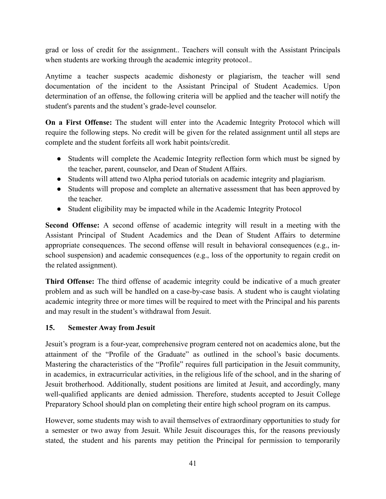grad or loss of credit for the assignment.. Teachers will consult with the Assistant Principals when students are working through the academic integrity protocol...

Anytime a teacher suspects academic dishonesty or plagiarism, the teacher will send documentation of the incident to the Assistant Principal of Student Academics. Upon determination of an offense, the following criteria will be applied and the teacher will notify the student's parents and the student's grade-level counselor.

**On a First Offense:** The student will enter into the Academic Integrity Protocol which will require the following steps. No credit will be given for the related assignment until all steps are complete and the student forfeits all work habit points/credit.

- Students will complete the Academic Integrity reflection form which must be signed by the teacher, parent, counselor, and Dean of Student Affairs.
- Students will attend two Alpha period tutorials on academic integrity and plagiarism.
- Students will propose and complete an alternative assessment that has been approved by the teacher.
- Student eligibility may be impacted while in the Academic Integrity Protocol

**Second Offense:** A second offense of academic integrity will result in a meeting with the Assistant Principal of Student Academics and the Dean of Student Affairs to determine appropriate consequences. The second offense will result in behavioral consequences (e.g., inschool suspension) and academic consequences (e.g., loss of the opportunity to regain credit on the related assignment).

**Third Offense:** The third offense of academic integrity could be indicative of a much greater problem and as such will be handled on a case-by-case basis. A student who is caught violating academic integrity three or more times will be required to meet with the Principal and his parents and may result in the student's withdrawal from Jesuit.

# <span id="page-40-0"></span>**15. Semester Away from Jesuit**

Jesuit's program is a four-year, comprehensive program centered not on academics alone, but the attainment of the "Profile of the Graduate" as outlined in the school's basic documents. Mastering the characteristics of the "Profile" requires full participation in the Jesuit community, in academics, in extracurricular activities, in the religious life of the school, and in the sharing of Jesuit brotherhood. Additionally, student positions are limited at Jesuit, and accordingly, many well-qualified applicants are denied admission. Therefore, students accepted to Jesuit College Preparatory School should plan on completing their entire high school program on its campus.

However, some students may wish to avail themselves of extraordinary opportunities to study for a semester or two away from Jesuit. While Jesuit discourages this, for the reasons previously stated, the student and his parents may petition the Principal for permission to temporarily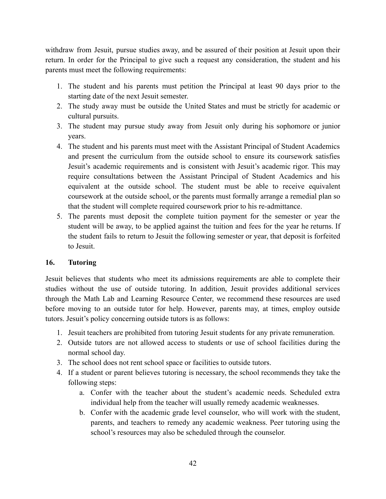withdraw from Jesuit, pursue studies away, and be assured of their position at Jesuit upon their return. In order for the Principal to give such a request any consideration, the student and his parents must meet the following requirements:

- 1. The student and his parents must petition the Principal at least 90 days prior to the starting date of the next Jesuit semester.
- 2. The study away must be outside the United States and must be strictly for academic or cultural pursuits.
- 3. The student may pursue study away from Jesuit only during his sophomore or junior years.
- 4. The student and his parents must meet with the Assistant Principal of Student Academics and present the curriculum from the outside school to ensure its coursework satisfies Jesuit's academic requirements and is consistent with Jesuit's academic rigor. This may require consultations between the Assistant Principal of Student Academics and his equivalent at the outside school. The student must be able to receive equivalent coursework at the outside school, or the parents must formally arrange a remedial plan so that the student will complete required coursework prior to his re-admittance.
- 5. The parents must deposit the complete tuition payment for the semester or year the student will be away, to be applied against the tuition and fees for the year he returns. If the student fails to return to Jesuit the following semester or year, that deposit is forfeited to Jesuit.

## <span id="page-41-0"></span>**16. Tutoring**

Jesuit believes that students who meet its admissions requirements are able to complete their studies without the use of outside tutoring. In addition, Jesuit provides additional services through the Math Lab and Learning Resource Center, we recommend these resources are used before moving to an outside tutor for help. However, parents may, at times, employ outside tutors. Jesuit's policy concerning outside tutors is as follows:

- 1. Jesuit teachers are prohibited from tutoring Jesuit students for any private remuneration.
- 2. Outside tutors are not allowed access to students or use of school facilities during the normal school day.
- 3. The school does not rent school space or facilities to outside tutors.
- 4. If a student or parent believes tutoring is necessary, the school recommends they take the following steps:
	- a. Confer with the teacher about the student's academic needs. Scheduled extra individual help from the teacher will usually remedy academic weaknesses.
	- b. Confer with the academic grade level counselor, who will work with the student, parents, and teachers to remedy any academic weakness. Peer tutoring using the school's resources may also be scheduled through the counselor.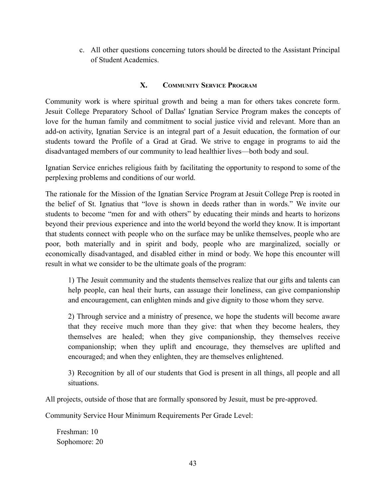c. All other questions concerning tutors should be directed to the Assistant Principal of Student Academics.

# **X. COMMUNITY SERVICE PROGRAM**

<span id="page-42-0"></span>Community work is where spiritual growth and being a man for others takes concrete form. Jesuit College Preparatory School of Dallas' Ignatian Service Program makes the concepts of love for the human family and commitment to social justice vivid and relevant. More than an add-on activity, Ignatian Service is an integral part of a Jesuit education, the formation of our students toward the Profile of a Grad at Grad. We strive to engage in programs to aid the disadvantaged members of our community to lead healthier lives—both body and soul.

Ignatian Service enriches religious faith by facilitating the opportunity to respond to some of the perplexing problems and conditions of our world.

The rationale for the Mission of the Ignatian Service Program at Jesuit College Prep is rooted in the belief of St. Ignatius that "love is shown in deeds rather than in words." We invite our students to become "men for and with others" by educating their minds and hearts to horizons beyond their previous experience and into the world beyond the world they know. It is important that students connect with people who on the surface may be unlike themselves, people who are poor, both materially and in spirit and body, people who are marginalized, socially or economically disadvantaged, and disabled either in mind or body. We hope this encounter will result in what we consider to be the ultimate goals of the program:

1) The Jesuit community and the students themselves realize that our gifts and talents can help people, can heal their hurts, can assuage their loneliness, can give companionship and encouragement, can enlighten minds and give dignity to those whom they serve.

2) Through service and a ministry of presence, we hope the students will become aware that they receive much more than they give: that when they become healers, they themselves are healed; when they give companionship, they themselves receive companionship; when they uplift and encourage, they themselves are uplifted and encouraged; and when they enlighten, they are themselves enlightened.

3) Recognition by all of our students that God is present in all things, all people and all situations.

All projects, outside of those that are formally sponsored by Jesuit, must be pre-approved.

Community Service Hour Minimum Requirements Per Grade Level:

Freshman: 10 Sophomore: 20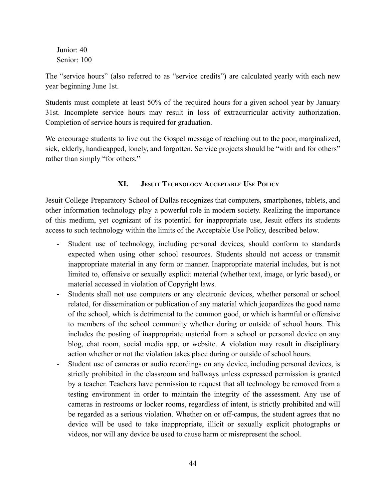Junior: 40 Senior: 100

The "service hours" (also referred to as "service credits") are calculated yearly with each new year beginning June 1st.

Students must complete at least 50% of the required hours for a given school year by January 31st. Incomplete service hours may result in loss of extracurricular activity authorization. Completion of service hours is required for graduation.

We encourage students to live out the Gospel message of reaching out to the poor, marginalized, sick, elderly, handicapped, lonely, and forgotten. Service projects should be "with and for others" rather than simply "for others."

# **XI. JESUIT TECHNOLOGY ACCEPTABLE USE POLICY**

<span id="page-43-0"></span>Jesuit College Preparatory School of Dallas recognizes that computers, smartphones, tablets, and other information technology play a powerful role in modern society. Realizing the importance of this medium, yet cognizant of its potential for inappropriate use, Jesuit offers its students access to such technology within the limits of the Acceptable Use Policy, described below.

- Student use of technology, including personal devices, should conform to standards expected when using other school resources. Students should not access or transmit inappropriate material in any form or manner. Inappropriate material includes, but is not limited to, offensive or sexually explicit material (whether text, image, or lyric based), or material accessed in violation of Copyright laws.
- Students shall not use computers or any electronic devices, whether personal or school related, for dissemination or publication of any material which jeopardizes the good name of the school, which is detrimental to the common good, or which is harmful or offensive to members of the school community whether during or outside of school hours. This includes the posting of inappropriate material from a school or personal device on any blog, chat room, social media app, or website. A violation may result in disciplinary action whether or not the violation takes place during or outside of school hours.
- Student use of cameras or audio recordings on any device, including personal devices, is strictly prohibited in the classroom and hallways unless expressed permission is granted by a teacher. Teachers have permission to request that all technology be removed from a testing environment in order to maintain the integrity of the assessment. Any use of cameras in restrooms or locker rooms, regardless of intent, is strictly prohibited and will be regarded as a serious violation. Whether on or off-campus, the student agrees that no device will be used to take inappropriate, illicit or sexually explicit photographs or videos, nor will any device be used to cause harm or misrepresent the school.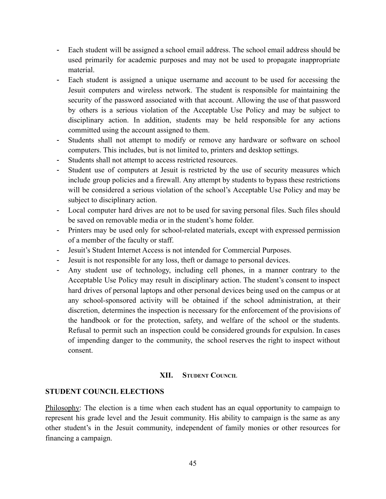- Each student will be assigned a school email address. The school email address should be used primarily for academic purposes and may not be used to propagate inappropriate material.
- Each student is assigned a unique username and account to be used for accessing the Jesuit computers and wireless network. The student is responsible for maintaining the security of the password associated with that account. Allowing the use of that password by others is a serious violation of the Acceptable Use Policy and may be subject to disciplinary action. In addition, students may be held responsible for any actions committed using the account assigned to them.
- Students shall not attempt to modify or remove any hardware or software on school computers. This includes, but is not limited to, printers and desktop settings.
- Students shall not attempt to access restricted resources.
- Student use of computers at Jesuit is restricted by the use of security measures which include group policies and a firewall. Any attempt by students to bypass these restrictions will be considered a serious violation of the school's Acceptable Use Policy and may be subject to disciplinary action.
- Local computer hard drives are not to be used for saving personal files. Such files should be saved on removable media or in the student's home folder.
- Printers may be used only for school-related materials, except with expressed permission of a member of the faculty or staff.
- Jesuit's Student Internet Access is not intended for Commercial Purposes.
- Jesuit is not responsible for any loss, theft or damage to personal devices.
- Any student use of technology, including cell phones, in a manner contrary to the Acceptable Use Policy may result in disciplinary action. The student's consent to inspect hard drives of personal laptops and other personal devices being used on the campus or at any school-sponsored activity will be obtained if the school administration, at their discretion, determines the inspection is necessary for the enforcement of the provisions of the handbook or for the protection, safety, and welfare of the school or the students. Refusal to permit such an inspection could be considered grounds for expulsion. In cases of impending danger to the community, the school reserves the right to inspect without consent.

#### **XII. STUDENT COUNCIL**

#### <span id="page-44-0"></span>**STUDENT COUNCIL ELECTIONS**

Philosophy: The election is a time when each student has an equal opportunity to campaign to represent his grade level and the Jesuit community. His ability to campaign is the same as any other student's in the Jesuit community, independent of family monies or other resources for financing a campaign.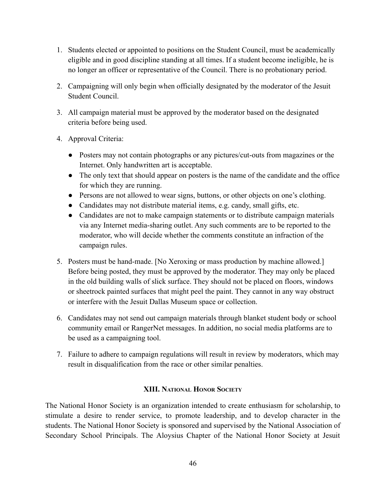- 1. Students elected or appointed to positions on the Student Council, must be academically eligible and in good discipline standing at all times. If a student become ineligible, he is no longer an officer or representative of the Council. There is no probationary period.
- 2. Campaigning will only begin when officially designated by the moderator of the Jesuit Student Council.
- 3. All campaign material must be approved by the moderator based on the designated criteria before being used.
- 4. Approval Criteria:
	- Posters may not contain photographs or any pictures/cut-outs from magazines or the Internet. Only handwritten art is acceptable.
	- The only text that should appear on posters is the name of the candidate and the office for which they are running.
	- Persons are not allowed to wear signs, buttons, or other objects on one's clothing.
	- Candidates may not distribute material items, e.g. candy, small gifts, etc.
	- Candidates are not to make campaign statements or to distribute campaign materials via any Internet media-sharing outlet. Any such comments are to be reported to the moderator, who will decide whether the comments constitute an infraction of the campaign rules.
- 5. Posters must be hand-made. [No Xeroxing or mass production by machine allowed.] Before being posted, they must be approved by the moderator. They may only be placed in the old building walls of slick surface. They should not be placed on floors, windows or sheetrock painted surfaces that might peel the paint. They cannot in any way obstruct or interfere with the Jesuit Dallas Museum space or collection.
- 6. Candidates may not send out campaign materials through blanket student body or school community email or RangerNet messages. In addition, no social media platforms are to be used as a campaigning tool.
- 7. Failure to adhere to campaign regulations will result in review by moderators, which may result in disqualification from the race or other similar penalties.

## **XIII. NATIONAL HONOR SOCIETY**

<span id="page-45-0"></span>The National Honor Society is an organization intended to create enthusiasm for scholarship, to stimulate a desire to render service, to promote leadership, and to develop character in the students. The National Honor Society is sponsored and supervised by the National Association of Secondary School Principals. The Aloysius Chapter of the National Honor Society at Jesuit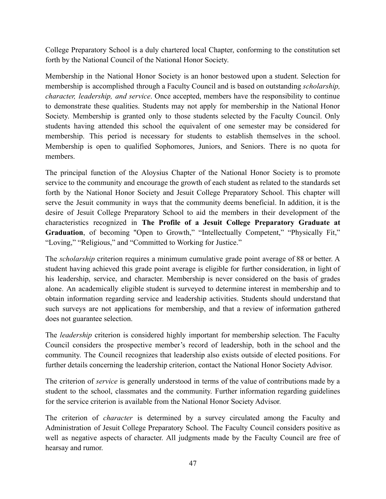College Preparatory School is a duly chartered local Chapter, conforming to the constitution set forth by the National Council of the National Honor Society.

Membership in the National Honor Society is an honor bestowed upon a student. Selection for membership is accomplished through a Faculty Council and is based on outstanding *scholarship, character, leadership, and service*. Once accepted, members have the responsibility to continue to demonstrate these qualities. Students may not apply for membership in the National Honor Society. Membership is granted only to those students selected by the Faculty Council. Only students having attended this school the equivalent of one semester may be considered for membership. This period is necessary for students to establish themselves in the school. Membership is open to qualified Sophomores, Juniors, and Seniors. There is no quota for members.

The principal function of the Aloysius Chapter of the National Honor Society is to promote service to the community and encourage the growth of each student as related to the standards set forth by the National Honor Society and Jesuit College Preparatory School. This chapter will serve the Jesuit community in ways that the community deems beneficial. In addition, it is the desire of Jesuit College Preparatory School to aid the members in their development of the characteristics recognized in **The Profile of a Jesuit College Preparatory Graduate at** Graduation, of becoming "Open to Growth," "Intellectually Competent," "Physically Fit," "Loving," "Religious," and "Committed to Working for Justice."

The *scholarship* criterion requires a minimum cumulative grade point average of 88 or better. A student having achieved this grade point average is eligible for further consideration, in light of his leadership, service, and character. Membership is never considered on the basis of grades alone. An academically eligible student is surveyed to determine interest in membership and to obtain information regarding service and leadership activities. Students should understand that such surveys are not applications for membership, and that a review of information gathered does not guarantee selection.

The *leadership* criterion is considered highly important for membership selection. The Faculty Council considers the prospective member's record of leadership, both in the school and the community. The Council recognizes that leadership also exists outside of elected positions. For further details concerning the leadership criterion, contact the National Honor Society Advisor.

The criterion of *service* is generally understood in terms of the value of contributions made by a student to the school, classmates and the community. Further information regarding guidelines for the service criterion is available from the National Honor Society Advisor.

The criterion of *character* is determined by a survey circulated among the Faculty and Administration of Jesuit College Preparatory School. The Faculty Council considers positive as well as negative aspects of character. All judgments made by the Faculty Council are free of hearsay and rumor.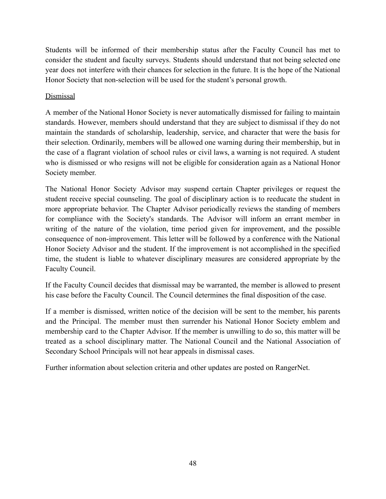Students will be informed of their membership status after the Faculty Council has met to consider the student and faculty surveys. Students should understand that not being selected one year does not interfere with their chances for selection in the future. It is the hope of the National Honor Society that non-selection will be used for the student's personal growth.

## Dismissal

A member of the National Honor Society is never automatically dismissed for failing to maintain standards. However, members should understand that they are subject to dismissal if they do not maintain the standards of scholarship, leadership, service, and character that were the basis for their selection. Ordinarily, members will be allowed one warning during their membership, but in the case of a flagrant violation of school rules or civil laws, a warning is not required. A student who is dismissed or who resigns will not be eligible for consideration again as a National Honor Society member.

The National Honor Society Advisor may suspend certain Chapter privileges or request the student receive special counseling. The goal of disciplinary action is to reeducate the student in more appropriate behavior. The Chapter Advisor periodically reviews the standing of members for compliance with the Society's standards. The Advisor will inform an errant member in writing of the nature of the violation, time period given for improvement, and the possible consequence of non-improvement. This letter will be followed by a conference with the National Honor Society Advisor and the student. If the improvement is not accomplished in the specified time, the student is liable to whatever disciplinary measures are considered appropriate by the Faculty Council.

If the Faculty Council decides that dismissal may be warranted, the member is allowed to present his case before the Faculty Council. The Council determines the final disposition of the case.

If a member is dismissed, written notice of the decision will be sent to the member, his parents and the Principal. The member must then surrender his National Honor Society emblem and membership card to the Chapter Advisor. If the member is unwilling to do so, this matter will be treated as a school disciplinary matter. The National Council and the National Association of Secondary School Principals will not hear appeals in dismissal cases.

Further information about selection criteria and other updates are posted on RangerNet.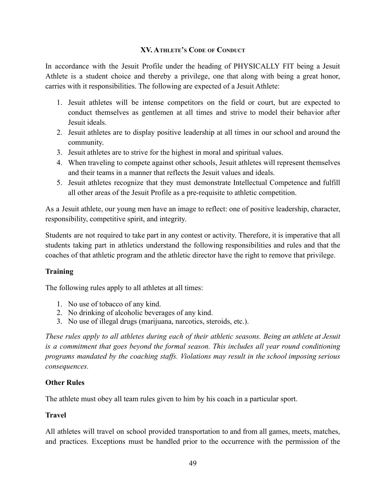## **XV. ATHLETE'S CODE OF CONDUCT**

<span id="page-48-0"></span>In accordance with the Jesuit Profile under the heading of PHYSICALLY FIT being a Jesuit Athlete is a student choice and thereby a privilege, one that along with being a great honor, carries with it responsibilities. The following are expected of a Jesuit Athlete:

- 1. Jesuit athletes will be intense competitors on the field or court, but are expected to conduct themselves as gentlemen at all times and strive to model their behavior after Jesuit ideals.
- 2. Jesuit athletes are to display positive leadership at all times in our school and around the community.
- 3. Jesuit athletes are to strive for the highest in moral and spiritual values.
- 4. When traveling to compete against other schools, Jesuit athletes will represent themselves and their teams in a manner that reflects the Jesuit values and ideals.
- 5. Jesuit athletes recognize that they must demonstrate Intellectual Competence and fulfill all other areas of the Jesuit Profile as a pre-requisite to athletic competition.

As a Jesuit athlete, our young men have an image to reflect: one of positive leadership, character, responsibility, competitive spirit, and integrity.

Students are not required to take part in any contest or activity. Therefore, it is imperative that all students taking part in athletics understand the following responsibilities and rules and that the coaches of that athletic program and the athletic director have the right to remove that privilege.

## **Training**

The following rules apply to all athletes at all times:

- 1. No use of tobacco of any kind.
- 2. No drinking of alcoholic beverages of any kind.
- 3. No use of illegal drugs (marijuana, narcotics, steroids, etc.).

*These rules apply to all athletes during each of their athletic seasons. Being an athlete at Jesuit is a commitment that goes beyond the formal season. This includes all year round conditioning programs mandated by the coaching staffs. Violations may result in the school imposing serious consequences.*

## **Other Rules**

The athlete must obey all team rules given to him by his coach in a particular sport.

## **Travel**

All athletes will travel on school provided transportation to and from all games, meets, matches, and practices. Exceptions must be handled prior to the occurrence with the permission of the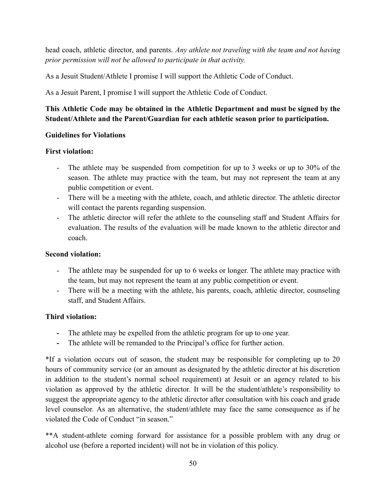head coach, athletic director, and parents. *Any athlete not traveling with the team and not having prior permission will not be allowed to participate in that activity.*

As a Jesuit Student/Athlete I promise I will support the Athletic Code of Conduct.

As a Jesuit Parent, I promise I will support the Athletic Code of Conduct.

# **This Athletic Code may be obtained in the Athletic Department and must be signed by the Student/Athlete and the Parent/Guardian for each athletic season prior to participation.**

## **Guidelines for Violations**

## **First violation:**

- The athlete may be suspended from competition for up to 3 weeks or up to 30% of the season. The athlete may practice with the team, but may not represent the team at any public competition or event.
- There will be a meeting with the athlete, coach, and athletic director. The athletic director will contact the parents regarding suspension.
- The athletic director will refer the athlete to the counseling staff and Student Affairs for evaluation. The results of the evaluation will be made known to the athletic director and coach.

## **Second violation:**

- The athlete may be suspended for up to 6 weeks or longer. The athlete may practice with the team, but may not represent the team at any public competition or event.
- There will be a meeting with the athlete, his parents, coach, athletic director, counseling staff, and Student Affairs.

# **Third violation:**

- **-** The athlete may be expelled from the athletic program for up to one year.
- **-** The athlete will be remanded to the Principal's office for further action.

\*If a violation occurs out of season, the student may be responsible for completing up to 20 hours of community service (or an amount as designated by the athletic director at his discretion in addition to the student's normal school requirement) at Jesuit or an agency related to his violation as approved by the athletic director. It will be the student/athlete's responsibility to suggest the appropriate agency to the athletic director after consultation with his coach and grade level counselor. As an alternative, the student/athlete may face the same consequence as if he violated the Code of Conduct "in season."

\*\*A student-athlete coming forward for assistance for a possible problem with any drug or alcohol use (before a reported incident) will not be in violation of this policy.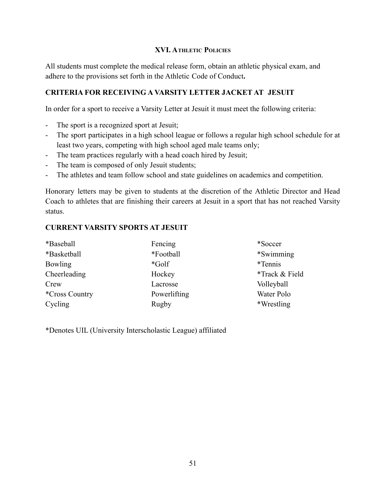### **XVI. ATHLETIC POLICIES**

<span id="page-50-0"></span>All students must complete the medical release form, obtain an athletic physical exam, and adhere to the provisions set forth in the Athletic Code of Conduct**.**

## **CRITERIA FOR RECEIVING A VARSITY LETTER JACKET AT JESUIT**

In order for a sport to receive a Varsity Letter at Jesuit it must meet the following criteria:

- The sport is a recognized sport at Jesuit;
- The sport participates in a high school league or follows a regular high school schedule for at least two years, competing with high school aged male teams only;
- The team practices regularly with a head coach hired by Jesuit;
- The team is composed of only Jesuit students;
- The athletes and team follow school and state guidelines on academics and competition.

Honorary letters may be given to students at the discretion of the Athletic Director and Head Coach to athletes that are finishing their careers at Jesuit in a sport that has not reached Varsity status.

### **CURRENT VARSITY SPORTS AT JESUIT**

| *Baseball             | Fencing      | *Soccer        |
|-----------------------|--------------|----------------|
| *Basketball           | *Football    | *Swimming*     |
| <b>Bowling</b>        | $*$ Golf     | *Tennis        |
| Cheerleading          | Hockey       | *Track & Field |
| Crew                  | Lacrosse     | Volleyball     |
| <i>*Cross Country</i> | Powerlifting | Water Polo     |
| Cycling               | Rugby        | *Wrestling     |

\*Denotes UIL (University Interscholastic League) affiliated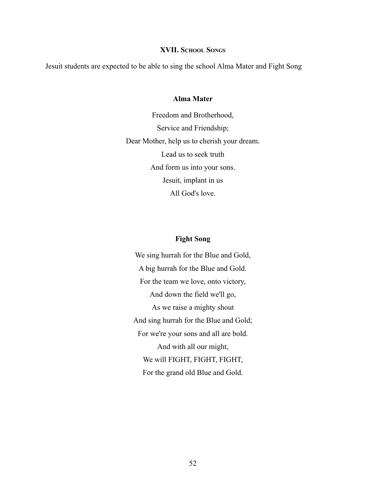#### **XVII. SCHOOL SONGS**

<span id="page-51-0"></span>Jesuit students are expected to be able to sing the school Alma Mater and Fight Song

#### **Alma Mater**

Freedom and Brotherhood, Service and Friendship; Dear Mother, help us to cherish your dream. Lead us to seek truth And form us into your sons. Jesuit, implant in us All God's love.

#### **Fight Song**

We sing hurrah for the Blue and Gold, A big hurrah for the Blue and Gold. For the team we love, onto victory, And down the field we'll go, As we raise a mighty shout And sing hurrah for the Blue and Gold; For we're your sons and all are bold. And with all our might, We will FIGHT, FIGHT, FIGHT, For the grand old Blue and Gold.